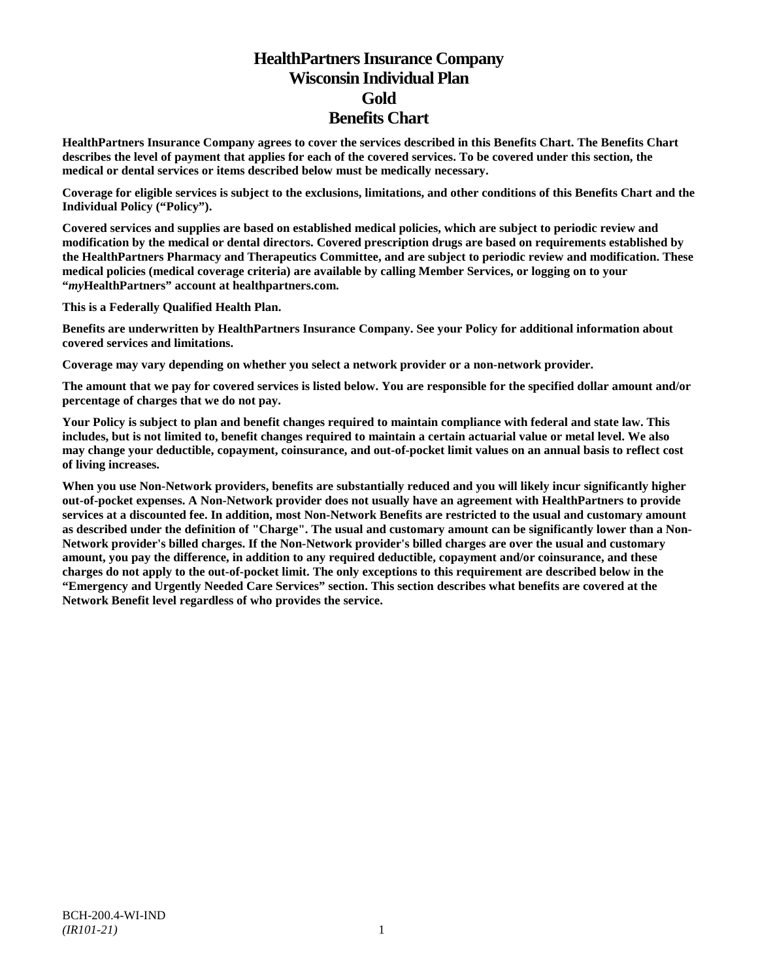# **HealthPartners Insurance Company Wisconsin Individual Plan Gold Benefits Chart**

**HealthPartners Insurance Company agrees to cover the services described in this Benefits Chart. The Benefits Chart describes the level of payment that applies for each of the covered services. To be covered under this section, the medical or dental services or items described below must be medically necessary.**

**Coverage for eligible services is subject to the exclusions, limitations, and other conditions of this Benefits Chart and the Individual Policy ("Policy").**

**Covered services and supplies are based on established medical policies, which are subject to periodic review and modification by the medical or dental directors. Covered prescription drugs are based on requirements established by the HealthPartners Pharmacy and Therapeutics Committee, and are subject to periodic review and modification. These medical policies (medical coverage criteria) are available by calling Member Services, or logging on to your "***my***HealthPartners" account at [healthpartners.com.](http://www.healthpartners.com/)**

**This is a Federally Qualified Health Plan.**

**Benefits are underwritten by HealthPartners Insurance Company. See your Policy for additional information about covered services and limitations.**

**Coverage may vary depending on whether you select a network provider or a non-network provider.**

**The amount that we pay for covered services is listed below. You are responsible for the specified dollar amount and/or percentage of charges that we do not pay.**

**Your Policy is subject to plan and benefit changes required to maintain compliance with federal and state law. This includes, but is not limited to, benefit changes required to maintain a certain actuarial value or metal level. We also may change your deductible, copayment, coinsurance, and out-of-pocket limit values on an annual basis to reflect cost of living increases.**

**When you use Non-Network providers, benefits are substantially reduced and you will likely incur significantly higher out-of-pocket expenses. A Non-Network provider does not usually have an agreement with HealthPartners to provide services at a discounted fee. In addition, most Non-Network Benefits are restricted to the usual and customary amount as described under the definition of "Charge". The usual and customary amount can be significantly lower than a Non-Network provider's billed charges. If the Non-Network provider's billed charges are over the usual and customary amount, you pay the difference, in addition to any required deductible, copayment and/or coinsurance, and these charges do not apply to the out-of-pocket limit. The only exceptions to this requirement are described below in the "Emergency and Urgently Needed Care Services" section. This section describes what benefits are covered at the Network Benefit level regardless of who provides the service.**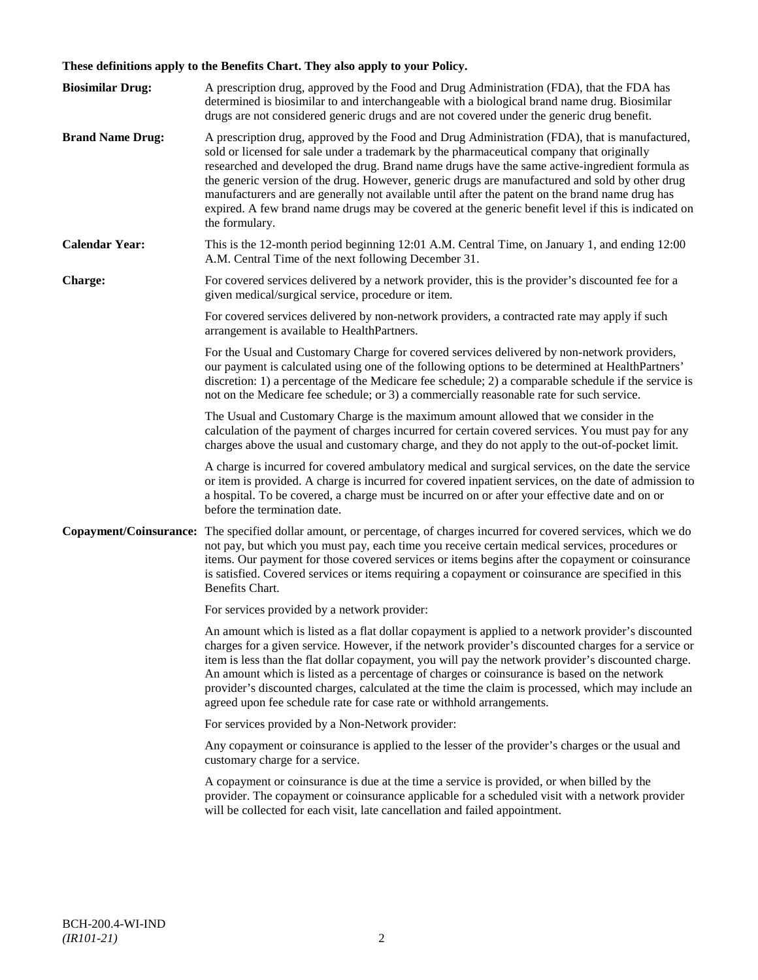# **These definitions apply to the Benefits Chart. They also apply to your Policy.**

| <b>Biosimilar Drug:</b> | A prescription drug, approved by the Food and Drug Administration (FDA), that the FDA has<br>determined is biosimilar to and interchangeable with a biological brand name drug. Biosimilar<br>drugs are not considered generic drugs and are not covered under the generic drug benefit.                                                                                                                                                                                                                                                                                                                                     |
|-------------------------|------------------------------------------------------------------------------------------------------------------------------------------------------------------------------------------------------------------------------------------------------------------------------------------------------------------------------------------------------------------------------------------------------------------------------------------------------------------------------------------------------------------------------------------------------------------------------------------------------------------------------|
| <b>Brand Name Drug:</b> | A prescription drug, approved by the Food and Drug Administration (FDA), that is manufactured,<br>sold or licensed for sale under a trademark by the pharmaceutical company that originally<br>researched and developed the drug. Brand name drugs have the same active-ingredient formula as<br>the generic version of the drug. However, generic drugs are manufactured and sold by other drug<br>manufacturers and are generally not available until after the patent on the brand name drug has<br>expired. A few brand name drugs may be covered at the generic benefit level if this is indicated on<br>the formulary. |
| <b>Calendar Year:</b>   | This is the 12-month period beginning 12:01 A.M. Central Time, on January 1, and ending 12:00<br>A.M. Central Time of the next following December 31.                                                                                                                                                                                                                                                                                                                                                                                                                                                                        |
| Charge:                 | For covered services delivered by a network provider, this is the provider's discounted fee for a<br>given medical/surgical service, procedure or item.                                                                                                                                                                                                                                                                                                                                                                                                                                                                      |
|                         | For covered services delivered by non-network providers, a contracted rate may apply if such<br>arrangement is available to HealthPartners.                                                                                                                                                                                                                                                                                                                                                                                                                                                                                  |
|                         | For the Usual and Customary Charge for covered services delivered by non-network providers,<br>our payment is calculated using one of the following options to be determined at HealthPartners'<br>discretion: 1) a percentage of the Medicare fee schedule; 2) a comparable schedule if the service is<br>not on the Medicare fee schedule; or 3) a commercially reasonable rate for such service.                                                                                                                                                                                                                          |
|                         | The Usual and Customary Charge is the maximum amount allowed that we consider in the<br>calculation of the payment of charges incurred for certain covered services. You must pay for any<br>charges above the usual and customary charge, and they do not apply to the out-of-pocket limit.                                                                                                                                                                                                                                                                                                                                 |
|                         | A charge is incurred for covered ambulatory medical and surgical services, on the date the service<br>or item is provided. A charge is incurred for covered inpatient services, on the date of admission to<br>a hospital. To be covered, a charge must be incurred on or after your effective date and on or<br>before the termination date.                                                                                                                                                                                                                                                                                |
| Copayment/Coinsurance:  | The specified dollar amount, or percentage, of charges incurred for covered services, which we do<br>not pay, but which you must pay, each time you receive certain medical services, procedures or<br>items. Our payment for those covered services or items begins after the copayment or coinsurance<br>is satisfied. Covered services or items requiring a copayment or coinsurance are specified in this<br>Benefits Chart.                                                                                                                                                                                             |
|                         | For services provided by a network provider:                                                                                                                                                                                                                                                                                                                                                                                                                                                                                                                                                                                 |
|                         | An amount which is listed as a flat dollar copayment is applied to a network provider's discounted<br>charges for a given service. However, if the network provider's discounted charges for a service or<br>item is less than the flat dollar copayment, you will pay the network provider's discounted charge.<br>An amount which is listed as a percentage of charges or coinsurance is based on the network<br>provider's discounted charges, calculated at the time the claim is processed, which may include an<br>agreed upon fee schedule rate for case rate or withhold arrangements.                               |
|                         | For services provided by a Non-Network provider:                                                                                                                                                                                                                                                                                                                                                                                                                                                                                                                                                                             |
|                         | Any copayment or coinsurance is applied to the lesser of the provider's charges or the usual and<br>customary charge for a service.                                                                                                                                                                                                                                                                                                                                                                                                                                                                                          |
|                         | A copayment or coinsurance is due at the time a service is provided, or when billed by the<br>provider. The copayment or coinsurance applicable for a scheduled visit with a network provider<br>will be collected for each visit, late cancellation and failed appointment.                                                                                                                                                                                                                                                                                                                                                 |
|                         |                                                                                                                                                                                                                                                                                                                                                                                                                                                                                                                                                                                                                              |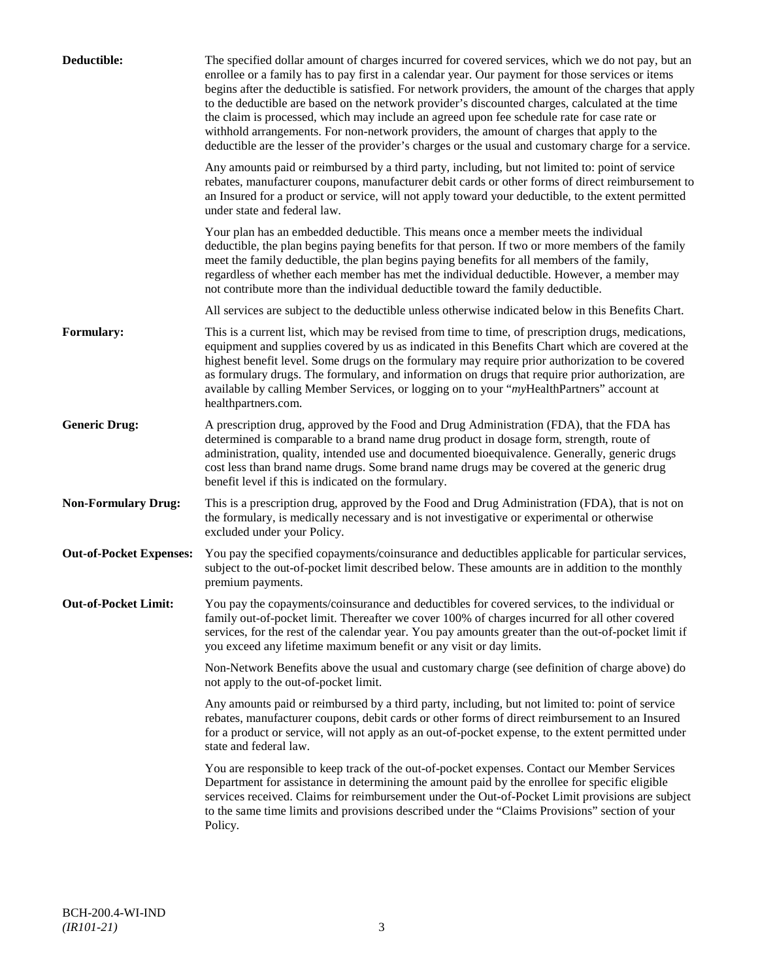| Deductible:                    | The specified dollar amount of charges incurred for covered services, which we do not pay, but an<br>enrollee or a family has to pay first in a calendar year. Our payment for those services or items<br>begins after the deductible is satisfied. For network providers, the amount of the charges that apply<br>to the deductible are based on the network provider's discounted charges, calculated at the time<br>the claim is processed, which may include an agreed upon fee schedule rate for case rate or<br>withhold arrangements. For non-network providers, the amount of charges that apply to the<br>deductible are the lesser of the provider's charges or the usual and customary charge for a service. |
|--------------------------------|-------------------------------------------------------------------------------------------------------------------------------------------------------------------------------------------------------------------------------------------------------------------------------------------------------------------------------------------------------------------------------------------------------------------------------------------------------------------------------------------------------------------------------------------------------------------------------------------------------------------------------------------------------------------------------------------------------------------------|
|                                | Any amounts paid or reimbursed by a third party, including, but not limited to: point of service<br>rebates, manufacturer coupons, manufacturer debit cards or other forms of direct reimbursement to<br>an Insured for a product or service, will not apply toward your deductible, to the extent permitted<br>under state and federal law.                                                                                                                                                                                                                                                                                                                                                                            |
|                                | Your plan has an embedded deductible. This means once a member meets the individual<br>deductible, the plan begins paying benefits for that person. If two or more members of the family<br>meet the family deductible, the plan begins paying benefits for all members of the family,<br>regardless of whether each member has met the individual deductible. However, a member may<br>not contribute more than the individual deductible toward the family deductible.                                                                                                                                                                                                                                                |
|                                | All services are subject to the deductible unless otherwise indicated below in this Benefits Chart.                                                                                                                                                                                                                                                                                                                                                                                                                                                                                                                                                                                                                     |
| Formulary:                     | This is a current list, which may be revised from time to time, of prescription drugs, medications,<br>equipment and supplies covered by us as indicated in this Benefits Chart which are covered at the<br>highest benefit level. Some drugs on the formulary may require prior authorization to be covered<br>as formulary drugs. The formulary, and information on drugs that require prior authorization, are<br>available by calling Member Services, or logging on to your "myHealthPartners" account at<br>healthpartners.com.                                                                                                                                                                                   |
| <b>Generic Drug:</b>           | A prescription drug, approved by the Food and Drug Administration (FDA), that the FDA has<br>determined is comparable to a brand name drug product in dosage form, strength, route of<br>administration, quality, intended use and documented bioequivalence. Generally, generic drugs<br>cost less than brand name drugs. Some brand name drugs may be covered at the generic drug<br>benefit level if this is indicated on the formulary.                                                                                                                                                                                                                                                                             |
| <b>Non-Formulary Drug:</b>     | This is a prescription drug, approved by the Food and Drug Administration (FDA), that is not on<br>the formulary, is medically necessary and is not investigative or experimental or otherwise<br>excluded under your Policy.                                                                                                                                                                                                                                                                                                                                                                                                                                                                                           |
| <b>Out-of-Pocket Expenses:</b> | You pay the specified copayments/coinsurance and deductibles applicable for particular services,<br>subject to the out-of-pocket limit described below. These amounts are in addition to the monthly<br>premium payments.                                                                                                                                                                                                                                                                                                                                                                                                                                                                                               |
| <b>Out-of-Pocket Limit:</b>    | You pay the copayments/coinsurance and deductibles for covered services, to the individual or<br>family out-of-pocket limit. Thereafter we cover 100% of charges incurred for all other covered<br>services, for the rest of the calendar year. You pay amounts greater than the out-of-pocket limit if<br>you exceed any lifetime maximum benefit or any visit or day limits.                                                                                                                                                                                                                                                                                                                                          |
|                                | Non-Network Benefits above the usual and customary charge (see definition of charge above) do<br>not apply to the out-of-pocket limit.                                                                                                                                                                                                                                                                                                                                                                                                                                                                                                                                                                                  |
|                                | Any amounts paid or reimbursed by a third party, including, but not limited to: point of service<br>rebates, manufacturer coupons, debit cards or other forms of direct reimbursement to an Insured<br>for a product or service, will not apply as an out-of-pocket expense, to the extent permitted under<br>state and federal law.                                                                                                                                                                                                                                                                                                                                                                                    |
|                                | You are responsible to keep track of the out-of-pocket expenses. Contact our Member Services<br>Department for assistance in determining the amount paid by the enrollee for specific eligible<br>services received. Claims for reimbursement under the Out-of-Pocket Limit provisions are subject<br>to the same time limits and provisions described under the "Claims Provisions" section of your<br>Policy.                                                                                                                                                                                                                                                                                                         |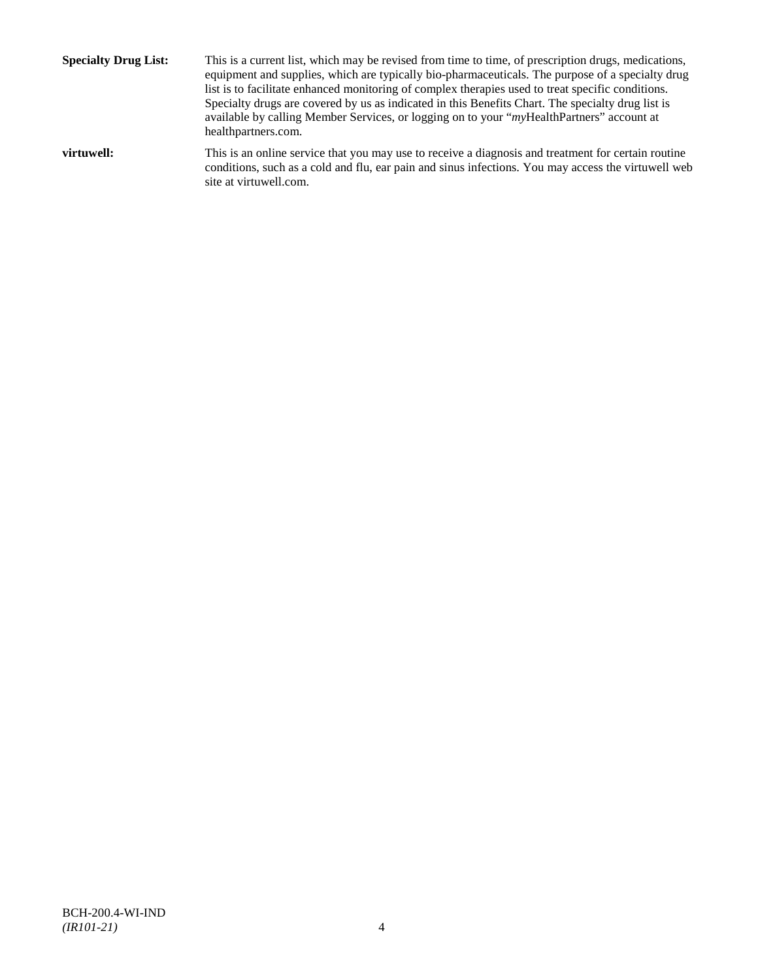**Specialty Drug List:** This is a current list, which may be revised from time to time, of prescription drugs, medications, equipment and supplies, which are typically bio-pharmaceuticals. The purpose of a specialty drug list is to facilitate enhanced monitoring of complex therapies used to treat specific conditions. Specialty drugs are covered by us as indicated in this Benefits Chart. The specialty drug list is available by calling Member Services, or logging on to your "*my*HealthPartners" account at [healthpartners.com.](http://www.healthpartners.com/) **virtuwell:** This is an online service that you may use to receive a diagnosis and treatment for certain routine conditions, such as a cold and flu, ear pain and sinus infections. You may access the virtuwell web

site a[t virtuwell.com.](http://www.virtuwell.com/)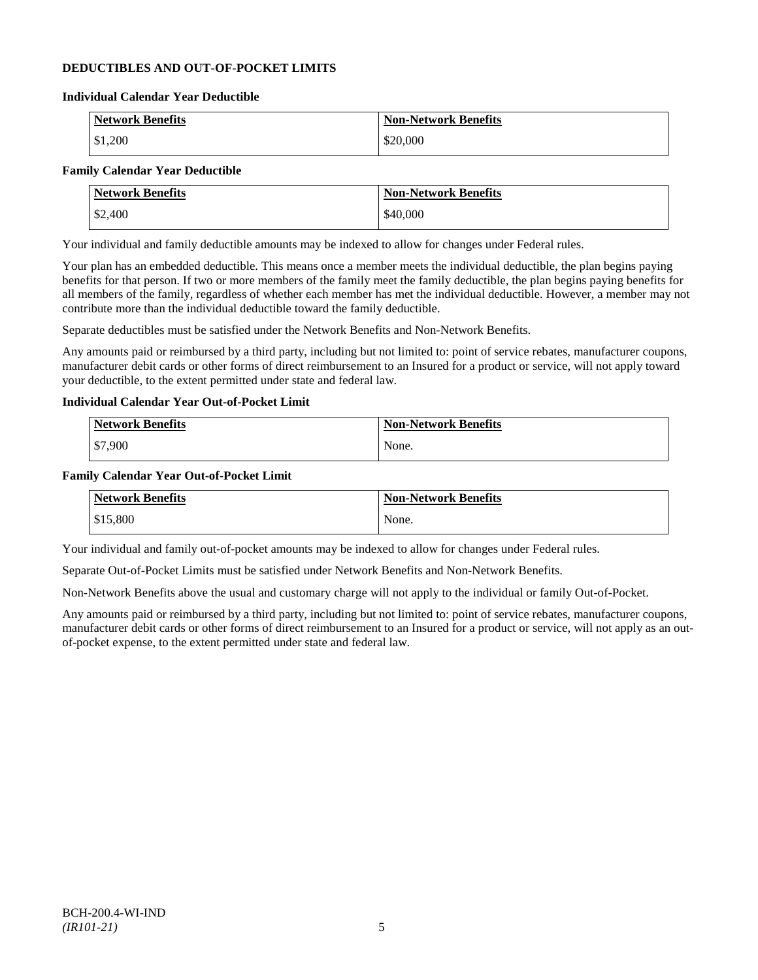# **DEDUCTIBLES AND OUT-OF-POCKET LIMITS**

#### **Individual Calendar Year Deductible**

| <b>Network Benefits</b> | <b>Non-Network Benefits</b> |
|-------------------------|-----------------------------|
| \$1,200                 | \$20,000                    |

# **Family Calendar Year Deductible**

| <b>Network Benefits</b> | <b>Non-Network Benefits</b> |
|-------------------------|-----------------------------|
| \$2,400                 | \$40,000                    |

Your individual and family deductible amounts may be indexed to allow for changes under Federal rules.

Your plan has an embedded deductible. This means once a member meets the individual deductible, the plan begins paying benefits for that person. If two or more members of the family meet the family deductible, the plan begins paying benefits for all members of the family, regardless of whether each member has met the individual deductible. However, a member may not contribute more than the individual deductible toward the family deductible.

Separate deductibles must be satisfied under the Network Benefits and Non-Network Benefits.

Any amounts paid or reimbursed by a third party, including but not limited to: point of service rebates, manufacturer coupons, manufacturer debit cards or other forms of direct reimbursement to an Insured for a product or service, will not apply toward your deductible, to the extent permitted under state and federal law.

# **Individual Calendar Year Out-of-Pocket Limit**

| Network Benefits | <b>Non-Network Benefits</b> |
|------------------|-----------------------------|
| \$7,900          | None.                       |

### **Family Calendar Year Out-of-Pocket Limit**

| <b>Network Benefits</b> | <b>Non-Network Benefits</b> |
|-------------------------|-----------------------------|
| \$15,800                | None.                       |

Your individual and family out-of-pocket amounts may be indexed to allow for changes under Federal rules.

Separate Out-of-Pocket Limits must be satisfied under Network Benefits and Non-Network Benefits.

Non-Network Benefits above the usual and customary charge will not apply to the individual or family Out-of-Pocket.

Any amounts paid or reimbursed by a third party, including but not limited to: point of service rebates, manufacturer coupons, manufacturer debit cards or other forms of direct reimbursement to an Insured for a product or service, will not apply as an outof-pocket expense, to the extent permitted under state and federal law.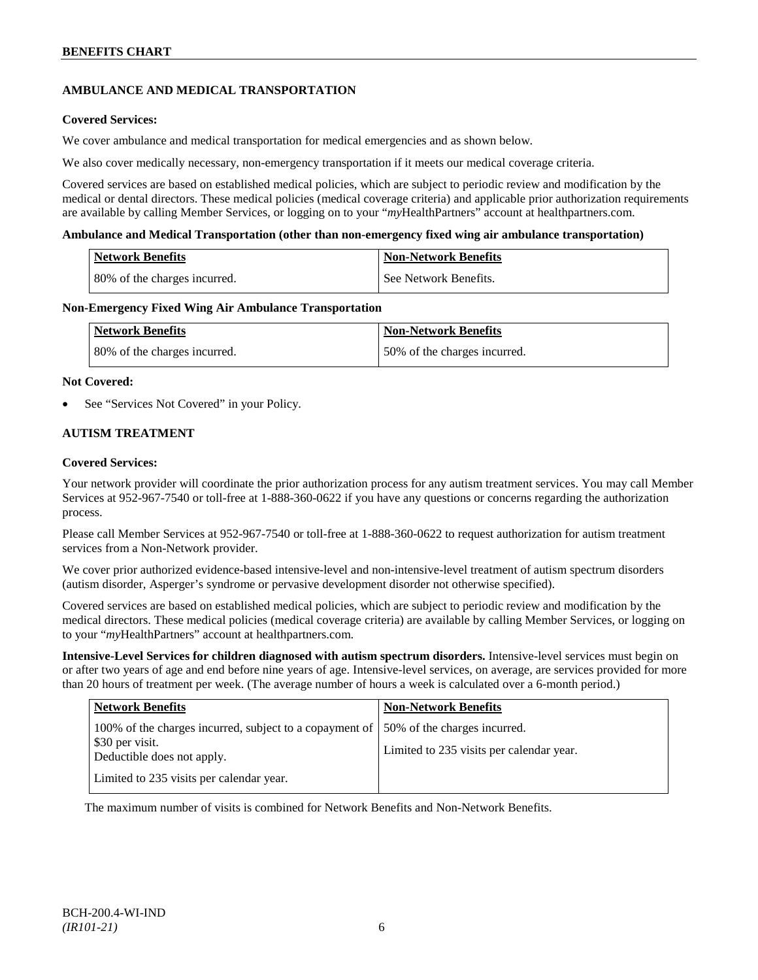# **AMBULANCE AND MEDICAL TRANSPORTATION**

# **Covered Services:**

We cover ambulance and medical transportation for medical emergencies and as shown below.

We also cover medically necessary, non-emergency transportation if it meets our medical coverage criteria.

Covered services are based on established medical policies, which are subject to periodic review and modification by the medical or dental directors. These medical policies (medical coverage criteria) and applicable prior authorization requirements are available by calling Member Services, or logging on to your "*my*HealthPartners" account at [healthpartners.com.](http://www.healthpartners.com/)

### **Ambulance and Medical Transportation (other than non-emergency fixed wing air ambulance transportation)**

| Network Benefits             | <b>Non-Network Benefits</b> |
|------------------------------|-----------------------------|
| 80% of the charges incurred. | See Network Benefits.       |

### **Non-Emergency Fixed Wing Air Ambulance Transportation**

| <b>Network Benefits</b>      | <b>Non-Network Benefits</b>  |
|------------------------------|------------------------------|
| 80% of the charges incurred. | 50% of the charges incurred. |

### **Not Covered:**

See "Services Not Covered" in your Policy.

# **AUTISM TREATMENT**

### **Covered Services:**

Your network provider will coordinate the prior authorization process for any autism treatment services. You may call Member Services at 952-967-7540 or toll-free at 1-888-360-0622 if you have any questions or concerns regarding the authorization process.

Please call Member Services at 952-967-7540 or toll-free at 1-888-360-0622 to request authorization for autism treatment services from a Non-Network provider.

We cover prior authorized evidence-based intensive-level and non-intensive-level treatment of autism spectrum disorders (autism disorder, Asperger's syndrome or pervasive development disorder not otherwise specified).

Covered services are based on established medical policies, which are subject to periodic review and modification by the medical directors. These medical policies (medical coverage criteria) are available by calling Member Services, or logging on to your "*my*HealthPartners" account at [healthpartners.com.](http://www.healthpartners.com/)

**Intensive-Level Services for children diagnosed with autism spectrum disorders.** Intensive-level services must begin on or after two years of age and end before nine years of age. Intensive-level services, on average, are services provided for more than 20 hours of treatment per week. (The average number of hours a week is calculated over a 6-month period.)

| <b>Network Benefits</b>                                                                                                                | <b>Non-Network Benefits</b>              |
|----------------------------------------------------------------------------------------------------------------------------------------|------------------------------------------|
| 100% of the charges incurred, subject to a copayment of  50% of the charges incurred.<br>\$30 per visit.<br>Deductible does not apply. | Limited to 235 visits per calendar year. |
| Limited to 235 visits per calendar year.                                                                                               |                                          |

The maximum number of visits is combined for Network Benefits and Non-Network Benefits.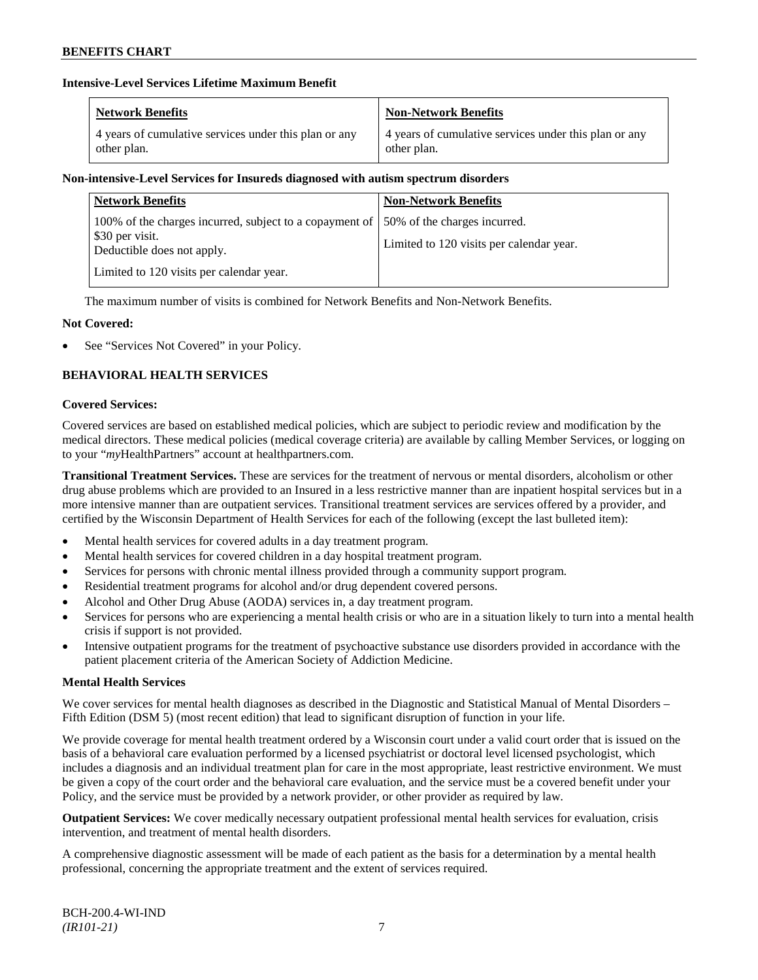# **Intensive-Level Services Lifetime Maximum Benefit**

| <b>Network Benefits</b>                               | <b>Non-Network Benefits</b>                           |
|-------------------------------------------------------|-------------------------------------------------------|
| 4 years of cumulative services under this plan or any | 4 years of cumulative services under this plan or any |
| other plan.                                           | other plan.                                           |

# **Non-intensive-Level Services for Insureds diagnosed with autism spectrum disorders**

| <b>Network Benefits</b>                                                                                  | <b>Non-Network Benefits</b>                                              |
|----------------------------------------------------------------------------------------------------------|--------------------------------------------------------------------------|
| 100% of the charges incurred, subject to a copayment of<br>\$30 per visit.<br>Deductible does not apply. | 50% of the charges incurred.<br>Limited to 120 visits per calendar year. |
| Limited to 120 visits per calendar year.                                                                 |                                                                          |

The maximum number of visits is combined for Network Benefits and Non-Network Benefits.

# **Not Covered:**

See "Services Not Covered" in your Policy.

# **BEHAVIORAL HEALTH SERVICES**

### **Covered Services:**

Covered services are based on established medical policies, which are subject to periodic review and modification by the medical directors. These medical policies (medical coverage criteria) are available by calling Member Services, or logging on to your "*my*HealthPartners" account at [healthpartners.com.](http://www.healthpartners.com/)

**Transitional Treatment Services.** These are services for the treatment of nervous or mental disorders, alcoholism or other drug abuse problems which are provided to an Insured in a less restrictive manner than are inpatient hospital services but in a more intensive manner than are outpatient services. Transitional treatment services are services offered by a provider, and certified by the Wisconsin Department of Health Services for each of the following (except the last bulleted item):

- Mental health services for covered adults in a day treatment program.
- Mental health services for covered children in a day hospital treatment program.
- Services for persons with chronic mental illness provided through a community support program.
- Residential treatment programs for alcohol and/or drug dependent covered persons.
- Alcohol and Other Drug Abuse (AODA) services in, a day treatment program.
- Services for persons who are experiencing a mental health crisis or who are in a situation likely to turn into a mental health crisis if support is not provided.
- Intensive outpatient programs for the treatment of psychoactive substance use disorders provided in accordance with the patient placement criteria of the American Society of Addiction Medicine.

# **Mental Health Services**

We cover services for mental health diagnoses as described in the Diagnostic and Statistical Manual of Mental Disorders – Fifth Edition (DSM 5) (most recent edition) that lead to significant disruption of function in your life.

We provide coverage for mental health treatment ordered by a Wisconsin court under a valid court order that is issued on the basis of a behavioral care evaluation performed by a licensed psychiatrist or doctoral level licensed psychologist, which includes a diagnosis and an individual treatment plan for care in the most appropriate, least restrictive environment. We must be given a copy of the court order and the behavioral care evaluation, and the service must be a covered benefit under your Policy, and the service must be provided by a network provider, or other provider as required by law.

**Outpatient Services:** We cover medically necessary outpatient professional mental health services for evaluation, crisis intervention, and treatment of mental health disorders.

A comprehensive diagnostic assessment will be made of each patient as the basis for a determination by a mental health professional, concerning the appropriate treatment and the extent of services required.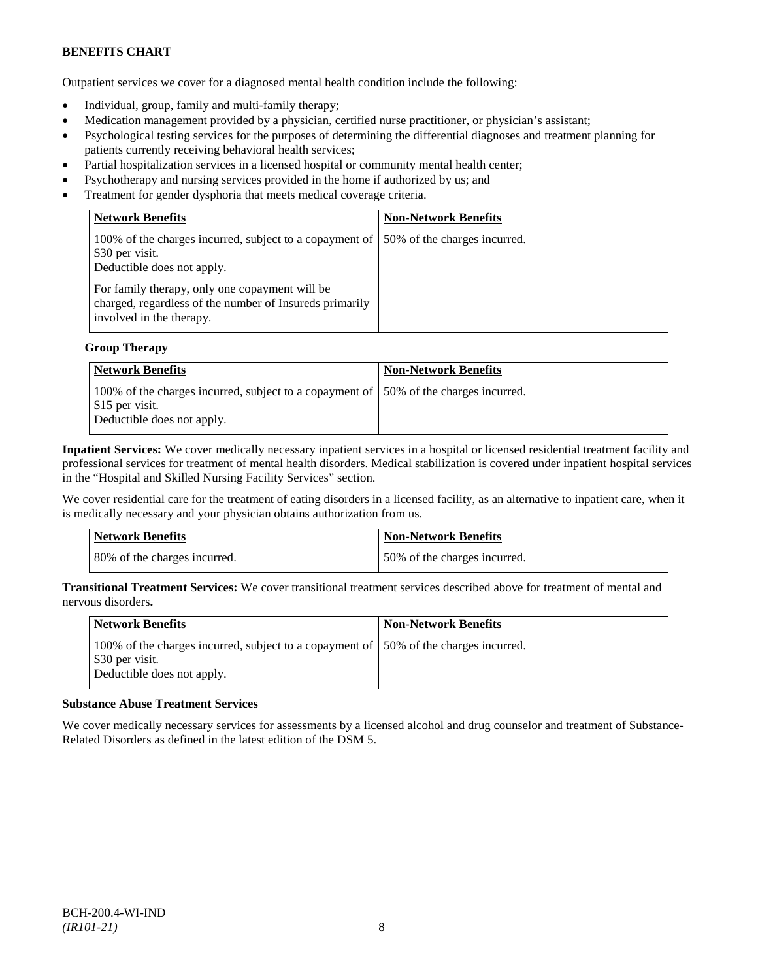Outpatient services we cover for a diagnosed mental health condition include the following:

- Individual, group, family and multi-family therapy;
- Medication management provided by a physician, certified nurse practitioner, or physician's assistant;
- Psychological testing services for the purposes of determining the differential diagnoses and treatment planning for patients currently receiving behavioral health services;
- Partial hospitalization services in a licensed hospital or community mental health center;
- Psychotherapy and nursing services provided in the home if authorized by us; and
- Treatment for gender dysphoria that meets medical coverage criteria.

| <b>Network Benefits</b>                                                                                                                                                                                               | <b>Non-Network Benefits</b>  |
|-----------------------------------------------------------------------------------------------------------------------------------------------------------------------------------------------------------------------|------------------------------|
| 100% of the charges incurred, subject to a copayment of<br>\$30 per visit.<br>Deductible does not apply.<br>For family therapy, only one copayment will be<br>charged, regardless of the number of Insureds primarily | 50% of the charges incurred. |
| involved in the therapy.                                                                                                                                                                                              |                              |

# **Group Therapy**

| Network Benefits                                                                                                                       | <b>Non-Network Benefits</b> |
|----------------------------------------------------------------------------------------------------------------------------------------|-----------------------------|
| 100% of the charges incurred, subject to a copayment of 150% of the charges incurred.<br>\$15 per visit.<br>Deductible does not apply. |                             |

**Inpatient Services:** We cover medically necessary inpatient services in a hospital or licensed residential treatment facility and professional services for treatment of mental health disorders. Medical stabilization is covered under inpatient hospital services in the "Hospital and Skilled Nursing Facility Services" section.

We cover residential care for the treatment of eating disorders in a licensed facility, as an alternative to inpatient care, when it is medically necessary and your physician obtains authorization from us.

| <b>Network Benefits</b>      | <b>Non-Network Benefits</b>  |
|------------------------------|------------------------------|
| 80% of the charges incurred. | 50% of the charges incurred. |

**Transitional Treatment Services:** We cover transitional treatment services described above for treatment of mental and nervous disorders**.**

| <b>Network Benefits</b>                                                                                                                | <b>Non-Network Benefits</b> |
|----------------------------------------------------------------------------------------------------------------------------------------|-----------------------------|
| 100% of the charges incurred, subject to a copayment of 150% of the charges incurred.<br>\$30 per visit.<br>Deductible does not apply. |                             |

#### **Substance Abuse Treatment Services**

We cover medically necessary services for assessments by a licensed alcohol and drug counselor and treatment of Substance-Related Disorders as defined in the latest edition of the DSM 5.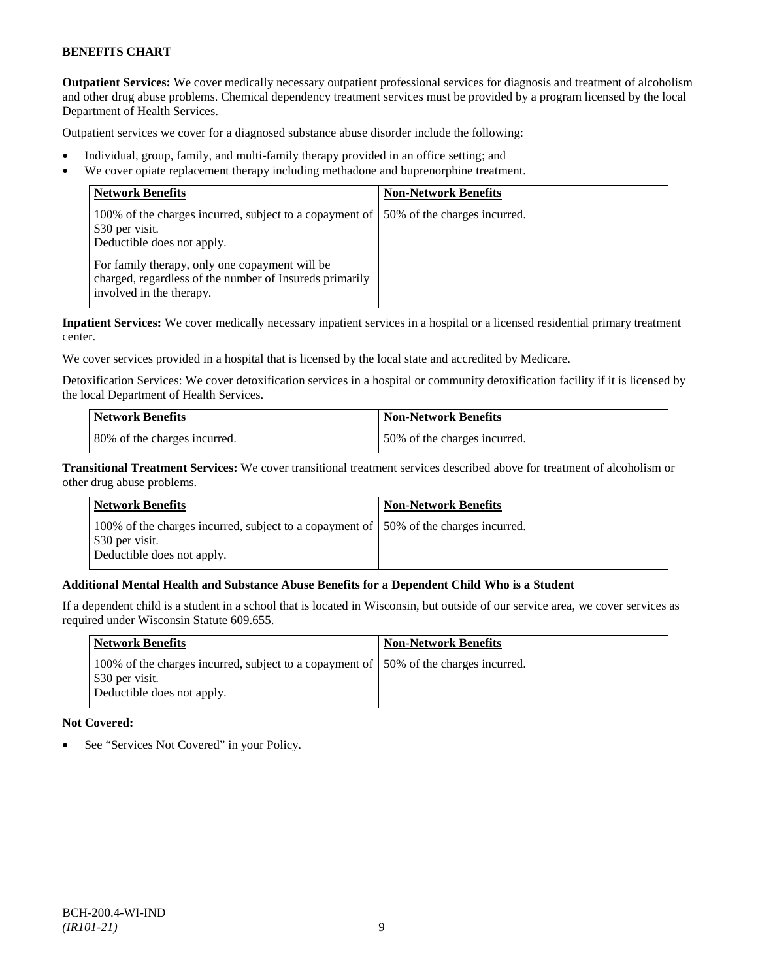**Outpatient Services:** We cover medically necessary outpatient professional services for diagnosis and treatment of alcoholism and other drug abuse problems. Chemical dependency treatment services must be provided by a program licensed by the local Department of Health Services.

Outpatient services we cover for a diagnosed substance abuse disorder include the following:

- Individual, group, family, and multi-family therapy provided in an office setting; and
- We cover opiate replacement therapy including methadone and buprenorphine treatment.

| <b>Network Benefits</b>                                                                                                               | <b>Non-Network Benefits</b>  |
|---------------------------------------------------------------------------------------------------------------------------------------|------------------------------|
| 100% of the charges incurred, subject to a copayment of<br>\$30 per visit.<br>Deductible does not apply.                              | 50% of the charges incurred. |
| For family therapy, only one copayment will be<br>charged, regardless of the number of Insureds primarily<br>involved in the therapy. |                              |

**Inpatient Services:** We cover medically necessary inpatient services in a hospital or a licensed residential primary treatment center.

We cover services provided in a hospital that is licensed by the local state and accredited by Medicare.

Detoxification Services: We cover detoxification services in a hospital or community detoxification facility if it is licensed by the local Department of Health Services.

| Network Benefits             | <b>Non-Network Benefits</b>  |
|------------------------------|------------------------------|
| 80% of the charges incurred. | 50% of the charges incurred. |

**Transitional Treatment Services:** We cover transitional treatment services described above for treatment of alcoholism or other drug abuse problems.

| Network Benefits                                                                                                                      | <b>Non-Network Benefits</b> |
|---------------------------------------------------------------------------------------------------------------------------------------|-----------------------------|
| 100% of the charges incurred, subject to a copayment of 50% of the charges incurred.<br>\$30 per visit.<br>Deductible does not apply. |                             |

# **Additional Mental Health and Substance Abuse Benefits for a Dependent Child Who is a Student**

If a dependent child is a student in a school that is located in Wisconsin, but outside of our service area, we cover services as required under Wisconsin Statute 609.655.

| Network Benefits                                                                                                                       | <b>Non-Network Benefits</b> |
|----------------------------------------------------------------------------------------------------------------------------------------|-----------------------------|
| 100% of the charges incurred, subject to a copayment of 150% of the charges incurred.<br>\$30 per visit.<br>Deductible does not apply. |                             |

# **Not Covered:**

See "Services Not Covered" in your Policy.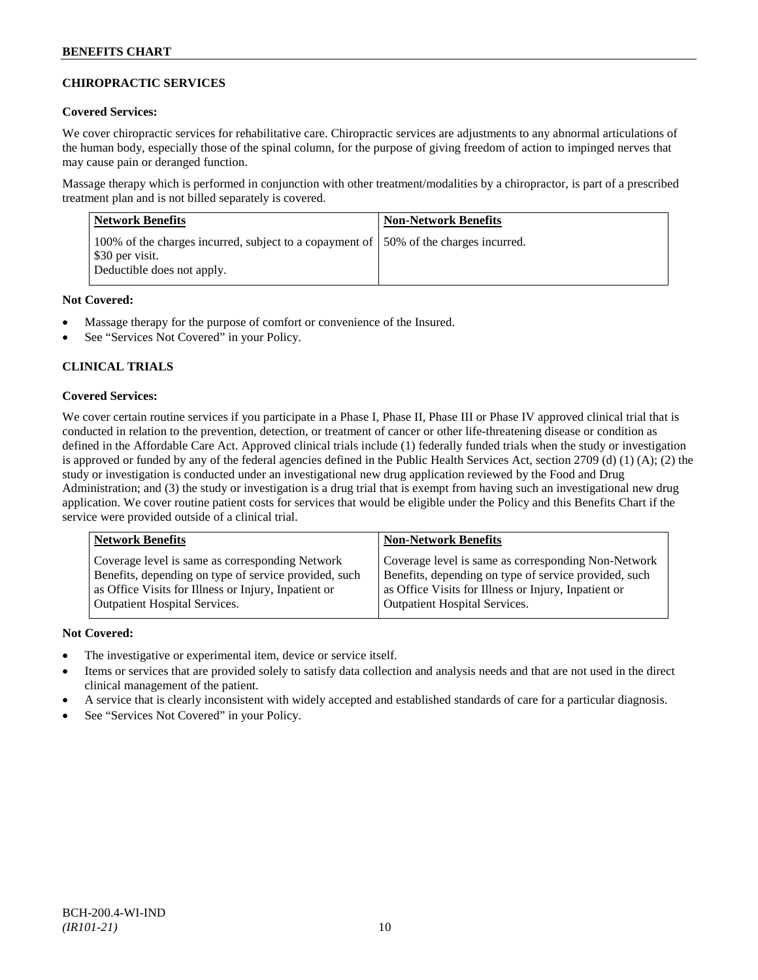# **CHIROPRACTIC SERVICES**

# **Covered Services:**

We cover chiropractic services for rehabilitative care. Chiropractic services are adjustments to any abnormal articulations of the human body, especially those of the spinal column, for the purpose of giving freedom of action to impinged nerves that may cause pain or deranged function.

Massage therapy which is performed in conjunction with other treatment/modalities by a chiropractor, is part of a prescribed treatment plan and is not billed separately is covered.

| <b>Network Benefits</b>                                                                                                                | <b>Non-Network Benefits</b> |
|----------------------------------------------------------------------------------------------------------------------------------------|-----------------------------|
| 100% of the charges incurred, subject to a copayment of 150% of the charges incurred.<br>\$30 per visit.<br>Deductible does not apply. |                             |

# **Not Covered:**

- Massage therapy for the purpose of comfort or convenience of the Insured.
- See "Services Not Covered" in your Policy.

# **CLINICAL TRIALS**

# **Covered Services:**

We cover certain routine services if you participate in a Phase I, Phase II, Phase III or Phase IV approved clinical trial that is conducted in relation to the prevention, detection, or treatment of cancer or other life-threatening disease or condition as defined in the Affordable Care Act. Approved clinical trials include (1) federally funded trials when the study or investigation is approved or funded by any of the federal agencies defined in the Public Health Services Act, section 2709 (d) (1) (A); (2) the study or investigation is conducted under an investigational new drug application reviewed by the Food and Drug Administration; and (3) the study or investigation is a drug trial that is exempt from having such an investigational new drug application. We cover routine patient costs for services that would be eligible under the Policy and this Benefits Chart if the service were provided outside of a clinical trial.

| <b>Network Benefits</b>                               | <b>Non-Network Benefits</b>                           |
|-------------------------------------------------------|-------------------------------------------------------|
| Coverage level is same as corresponding Network       | Coverage level is same as corresponding Non-Network   |
| Benefits, depending on type of service provided, such | Benefits, depending on type of service provided, such |
| as Office Visits for Illness or Injury, Inpatient or  | as Office Visits for Illness or Injury, Inpatient or  |
| <b>Outpatient Hospital Services.</b>                  | <b>Outpatient Hospital Services.</b>                  |

# **Not Covered:**

- The investigative or experimental item, device or service itself.
- Items or services that are provided solely to satisfy data collection and analysis needs and that are not used in the direct clinical management of the patient.
- A service that is clearly inconsistent with widely accepted and established standards of care for a particular diagnosis.
- See "Services Not Covered" in your Policy.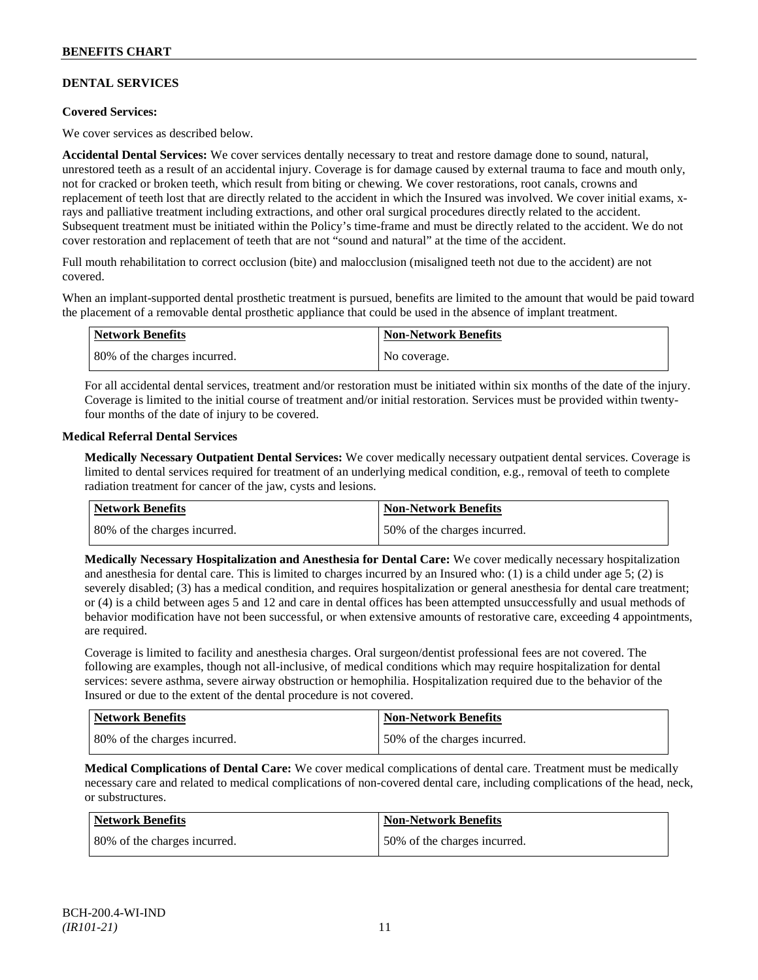# **DENTAL SERVICES**

### **Covered Services:**

We cover services as described below.

**Accidental Dental Services:** We cover services dentally necessary to treat and restore damage done to sound, natural, unrestored teeth as a result of an accidental injury. Coverage is for damage caused by external trauma to face and mouth only, not for cracked or broken teeth, which result from biting or chewing. We cover restorations, root canals, crowns and replacement of teeth lost that are directly related to the accident in which the Insured was involved. We cover initial exams, xrays and palliative treatment including extractions, and other oral surgical procedures directly related to the accident. Subsequent treatment must be initiated within the Policy's time-frame and must be directly related to the accident. We do not cover restoration and replacement of teeth that are not "sound and natural" at the time of the accident.

Full mouth rehabilitation to correct occlusion (bite) and malocclusion (misaligned teeth not due to the accident) are not covered.

When an implant-supported dental prosthetic treatment is pursued, benefits are limited to the amount that would be paid toward the placement of a removable dental prosthetic appliance that could be used in the absence of implant treatment.

| Network Benefits             | <b>Non-Network Benefits</b> |
|------------------------------|-----------------------------|
| 80% of the charges incurred. | No coverage.                |

For all accidental dental services, treatment and/or restoration must be initiated within six months of the date of the injury. Coverage is limited to the initial course of treatment and/or initial restoration. Services must be provided within twentyfour months of the date of injury to be covered.

### **Medical Referral Dental Services**

**Medically Necessary Outpatient Dental Services:** We cover medically necessary outpatient dental services. Coverage is limited to dental services required for treatment of an underlying medical condition, e.g., removal of teeth to complete radiation treatment for cancer of the jaw, cysts and lesions.

| Network Benefits             | <b>Non-Network Benefits</b>  |
|------------------------------|------------------------------|
| 80% of the charges incurred. | 50% of the charges incurred. |

**Medically Necessary Hospitalization and Anesthesia for Dental Care:** We cover medically necessary hospitalization and anesthesia for dental care. This is limited to charges incurred by an Insured who: (1) is a child under age  $5$ ; (2) is severely disabled; (3) has a medical condition, and requires hospitalization or general anesthesia for dental care treatment; or (4) is a child between ages 5 and 12 and care in dental offices has been attempted unsuccessfully and usual methods of behavior modification have not been successful, or when extensive amounts of restorative care, exceeding 4 appointments, are required.

Coverage is limited to facility and anesthesia charges. Oral surgeon/dentist professional fees are not covered. The following are examples, though not all-inclusive, of medical conditions which may require hospitalization for dental services: severe asthma, severe airway obstruction or hemophilia. Hospitalization required due to the behavior of the Insured or due to the extent of the dental procedure is not covered.

| Network Benefits             | <b>Non-Network Benefits</b>   |
|------------------------------|-------------------------------|
| 80% of the charges incurred. | 150% of the charges incurred. |

**Medical Complications of Dental Care:** We cover medical complications of dental care. Treatment must be medically necessary care and related to medical complications of non-covered dental care, including complications of the head, neck, or substructures.

| Network Benefits             | <b>Non-Network Benefits</b>  |
|------------------------------|------------------------------|
| 80% of the charges incurred. | 50% of the charges incurred. |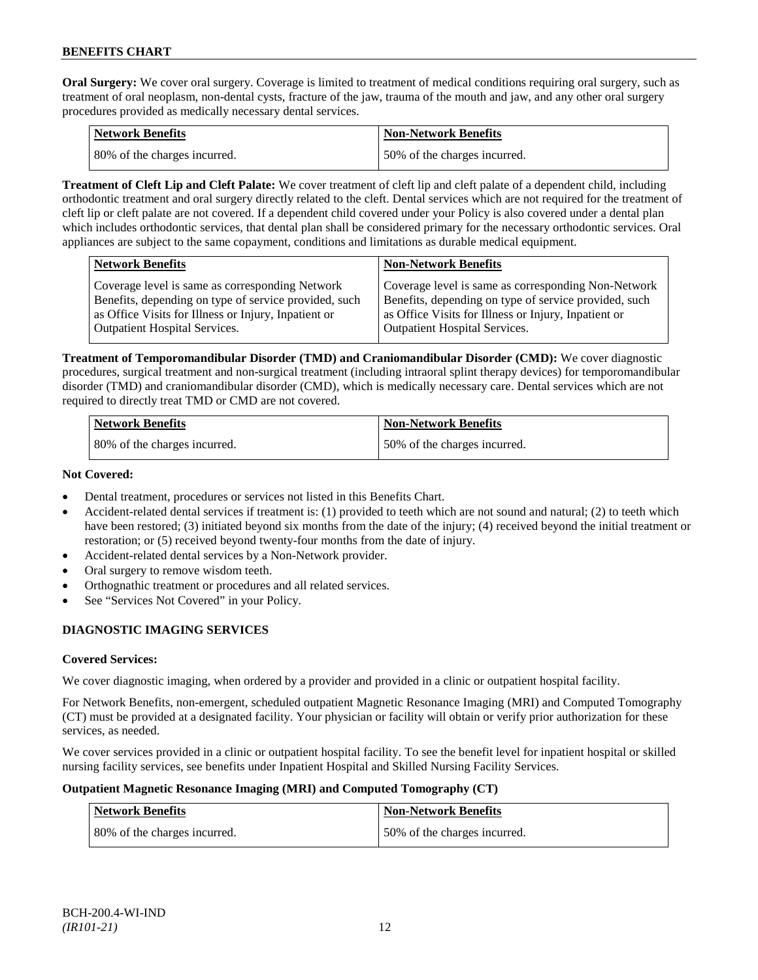**Oral Surgery:** We cover oral surgery. Coverage is limited to treatment of medical conditions requiring oral surgery, such as treatment of oral neoplasm, non-dental cysts, fracture of the jaw, trauma of the mouth and jaw, and any other oral surgery procedures provided as medically necessary dental services.

| Network Benefits             | <b>Non-Network Benefits</b>  |
|------------------------------|------------------------------|
| 80% of the charges incurred. | 50% of the charges incurred. |

**Treatment of Cleft Lip and Cleft Palate:** We cover treatment of cleft lip and cleft palate of a dependent child, including orthodontic treatment and oral surgery directly related to the cleft. Dental services which are not required for the treatment of cleft lip or cleft palate are not covered. If a dependent child covered under your Policy is also covered under a dental plan which includes orthodontic services, that dental plan shall be considered primary for the necessary orthodontic services. Oral appliances are subject to the same copayment, conditions and limitations as durable medical equipment.

| <b>Network Benefits</b>                                                                                                                                                                           | <b>Non-Network Benefits</b>                                                                                                                                                                           |
|---------------------------------------------------------------------------------------------------------------------------------------------------------------------------------------------------|-------------------------------------------------------------------------------------------------------------------------------------------------------------------------------------------------------|
| Coverage level is same as corresponding Network<br>Benefits, depending on type of service provided, such<br>as Office Visits for Illness or Injury, Inpatient or<br>Outpatient Hospital Services. | Coverage level is same as corresponding Non-Network<br>Benefits, depending on type of service provided, such<br>as Office Visits for Illness or Injury, Inpatient or<br>Outpatient Hospital Services. |
|                                                                                                                                                                                                   |                                                                                                                                                                                                       |

**Treatment of Temporomandibular Disorder (TMD) and Craniomandibular Disorder (CMD):** We cover diagnostic procedures, surgical treatment and non-surgical treatment (including intraoral splint therapy devices) for temporomandibular disorder (TMD) and craniomandibular disorder (CMD), which is medically necessary care. Dental services which are not required to directly treat TMD or CMD are not covered.

| <b>Network Benefits</b>      | <b>Non-Network Benefits</b>  |
|------------------------------|------------------------------|
| 80% of the charges incurred. | 50% of the charges incurred. |

# **Not Covered:**

- Dental treatment, procedures or services not listed in this Benefits Chart.
- Accident-related dental services if treatment is: (1) provided to teeth which are not sound and natural; (2) to teeth which have been restored; (3) initiated beyond six months from the date of the injury; (4) received beyond the initial treatment or restoration; or (5) received beyond twenty-four months from the date of injury.
- Accident-related dental services by a Non-Network provider.
- Oral surgery to remove wisdom teeth.
- Orthognathic treatment or procedures and all related services.
- See "Services Not Covered" in your Policy.

# **DIAGNOSTIC IMAGING SERVICES**

# **Covered Services:**

We cover diagnostic imaging, when ordered by a provider and provided in a clinic or outpatient hospital facility.

For Network Benefits, non-emergent, scheduled outpatient Magnetic Resonance Imaging (MRI) and Computed Tomography (CT) must be provided at a designated facility. Your physician or facility will obtain or verify prior authorization for these services, as needed.

We cover services provided in a clinic or outpatient hospital facility. To see the benefit level for inpatient hospital or skilled nursing facility services, see benefits under Inpatient Hospital and Skilled Nursing Facility Services.

# **Outpatient Magnetic Resonance Imaging (MRI) and Computed Tomography (CT)**

| <b>Network Benefits</b>      | <b>Non-Network Benefits</b>  |
|------------------------------|------------------------------|
| 80% of the charges incurred. | 50% of the charges incurred. |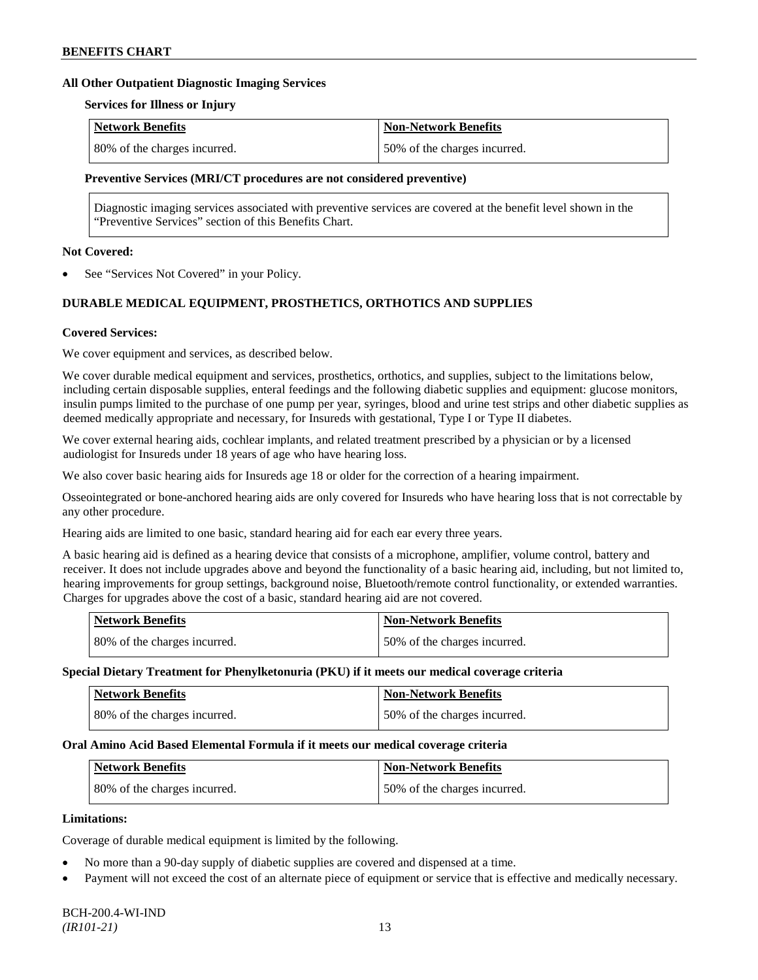#### **All Other Outpatient Diagnostic Imaging Services**

#### **Services for Illness or Injury**

| Network Benefits             | <b>Non-Network Benefits</b>  |
|------------------------------|------------------------------|
| 80% of the charges incurred. | 50% of the charges incurred. |

#### **Preventive Services (MRI/CT procedures are not considered preventive)**

Diagnostic imaging services associated with preventive services are covered at the benefit level shown in the "Preventive Services" section of this Benefits Chart.

### **Not Covered:**

See "Services Not Covered" in your Policy.

# **DURABLE MEDICAL EQUIPMENT, PROSTHETICS, ORTHOTICS AND SUPPLIES**

### **Covered Services:**

We cover equipment and services, as described below.

We cover durable medical equipment and services, prosthetics, orthotics, and supplies, subject to the limitations below, including certain disposable supplies, enteral feedings and the following diabetic supplies and equipment: glucose monitors, insulin pumps limited to the purchase of one pump per year, syringes, blood and urine test strips and other diabetic supplies as deemed medically appropriate and necessary, for Insureds with gestational, Type I or Type II diabetes.

We cover external hearing aids, cochlear implants, and related treatment prescribed by a physician or by a licensed audiologist for Insureds under 18 years of age who have hearing loss.

We also cover basic hearing aids for Insureds age 18 or older for the correction of a hearing impairment.

Osseointegrated or bone-anchored hearing aids are only covered for Insureds who have hearing loss that is not correctable by any other procedure.

Hearing aids are limited to one basic, standard hearing aid for each ear every three years.

A basic hearing aid is defined as a hearing device that consists of a microphone, amplifier, volume control, battery and receiver. It does not include upgrades above and beyond the functionality of a basic hearing aid, including, but not limited to, hearing improvements for group settings, background noise, Bluetooth/remote control functionality, or extended warranties. Charges for upgrades above the cost of a basic, standard hearing aid are not covered.

| Network Benefits             | <b>Non-Network Benefits</b>  |
|------------------------------|------------------------------|
| 80% of the charges incurred. | 50% of the charges incurred. |

#### **Special Dietary Treatment for Phenylketonuria (PKU) if it meets our medical coverage criteria**

| <b>Network Benefits</b>      | <b>Non-Network Benefits</b>  |
|------------------------------|------------------------------|
| 80% of the charges incurred. | 50% of the charges incurred. |

#### **Oral Amino Acid Based Elemental Formula if it meets our medical coverage criteria**

| Network Benefits             | <b>Non-Network Benefits</b>  |
|------------------------------|------------------------------|
| 80% of the charges incurred. | 50% of the charges incurred. |

### **Limitations:**

Coverage of durable medical equipment is limited by the following.

- No more than a 90-day supply of diabetic supplies are covered and dispensed at a time.
- Payment will not exceed the cost of an alternate piece of equipment or service that is effective and medically necessary.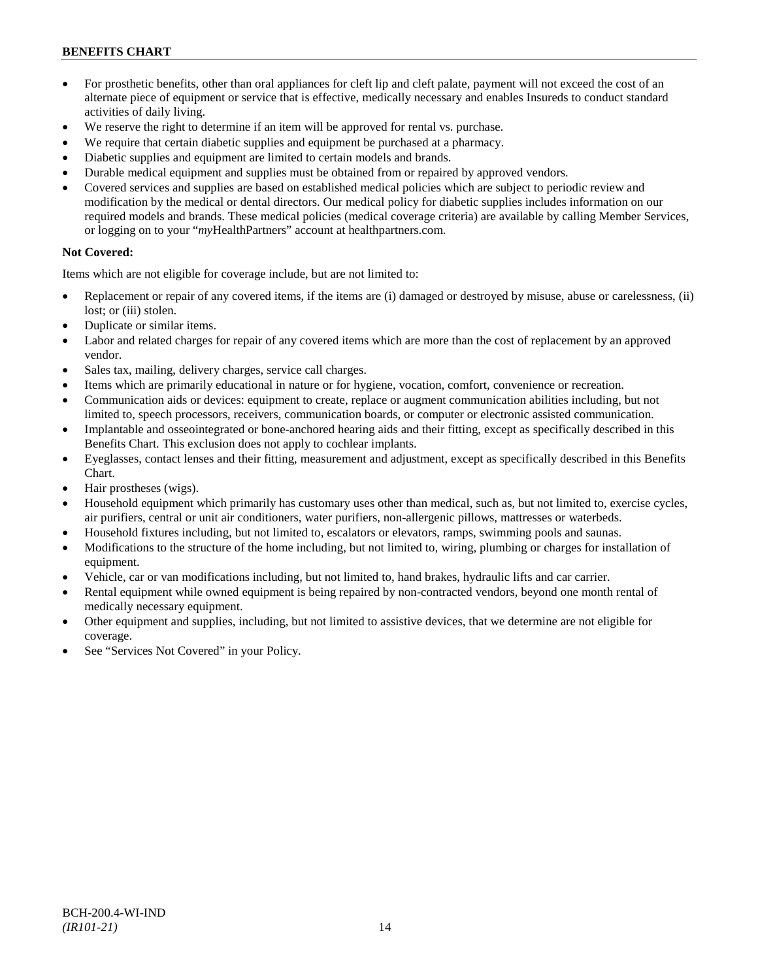- For prosthetic benefits, other than oral appliances for cleft lip and cleft palate, payment will not exceed the cost of an alternate piece of equipment or service that is effective, medically necessary and enables Insureds to conduct standard activities of daily living.
- We reserve the right to determine if an item will be approved for rental vs. purchase.
- We require that certain diabetic supplies and equipment be purchased at a pharmacy.
- Diabetic supplies and equipment are limited to certain models and brands.
- Durable medical equipment and supplies must be obtained from or repaired by approved vendors.
- Covered services and supplies are based on established medical policies which are subject to periodic review and modification by the medical or dental directors. Our medical policy for diabetic supplies includes information on our required models and brands. These medical policies (medical coverage criteria) are available by calling Member Services, or logging on to your "*my*HealthPartners" account a[t healthpartners.com.](http://www.healthpartners.com/)

# **Not Covered:**

Items which are not eligible for coverage include, but are not limited to:

- Replacement or repair of any covered items, if the items are (i) damaged or destroyed by misuse, abuse or carelessness, (ii) lost; or (iii) stolen.
- Duplicate or similar items.
- Labor and related charges for repair of any covered items which are more than the cost of replacement by an approved vendor.
- Sales tax, mailing, delivery charges, service call charges.
- Items which are primarily educational in nature or for hygiene, vocation, comfort, convenience or recreation.
- Communication aids or devices: equipment to create, replace or augment communication abilities including, but not limited to, speech processors, receivers, communication boards, or computer or electronic assisted communication.
- Implantable and osseointegrated or bone-anchored hearing aids and their fitting, except as specifically described in this Benefits Chart. This exclusion does not apply to cochlear implants.
- Eyeglasses, contact lenses and their fitting, measurement and adjustment, except as specifically described in this Benefits Chart.
- Hair prostheses (wigs).
- Household equipment which primarily has customary uses other than medical, such as, but not limited to, exercise cycles, air purifiers, central or unit air conditioners, water purifiers, non-allergenic pillows, mattresses or waterbeds.
- Household fixtures including, but not limited to, escalators or elevators, ramps, swimming pools and saunas.
- Modifications to the structure of the home including, but not limited to, wiring, plumbing or charges for installation of equipment.
- Vehicle, car or van modifications including, but not limited to, hand brakes, hydraulic lifts and car carrier.
- Rental equipment while owned equipment is being repaired by non-contracted vendors, beyond one month rental of medically necessary equipment.
- Other equipment and supplies, including, but not limited to assistive devices, that we determine are not eligible for coverage.
- See "Services Not Covered" in your Policy.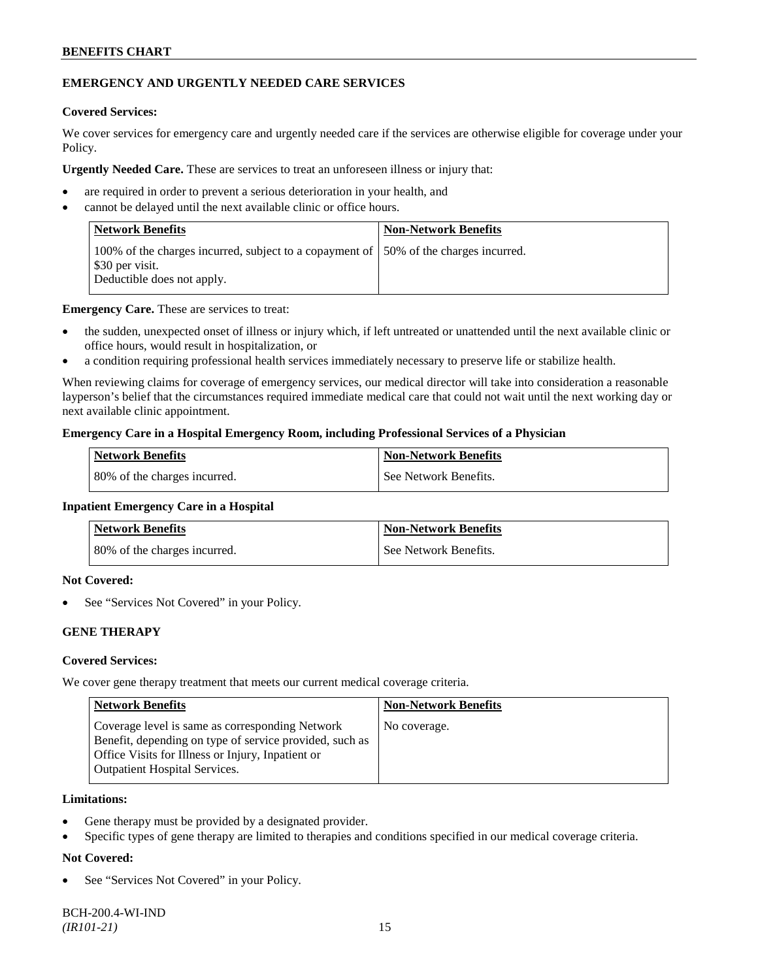# **EMERGENCY AND URGENTLY NEEDED CARE SERVICES**

### **Covered Services:**

We cover services for emergency care and urgently needed care if the services are otherwise eligible for coverage under your Policy.

**Urgently Needed Care.** These are services to treat an unforeseen illness or injury that:

- are required in order to prevent a serious deterioration in your health, and
- cannot be delayed until the next available clinic or office hours.

| Network Benefits                                                                                                                       | <b>Non-Network Benefits</b> |
|----------------------------------------------------------------------------------------------------------------------------------------|-----------------------------|
| 100% of the charges incurred, subject to a copayment of 150% of the charges incurred.<br>\$30 per visit.<br>Deductible does not apply. |                             |

**Emergency Care.** These are services to treat:

- the sudden, unexpected onset of illness or injury which, if left untreated or unattended until the next available clinic or office hours, would result in hospitalization, or
- a condition requiring professional health services immediately necessary to preserve life or stabilize health.

When reviewing claims for coverage of emergency services, our medical director will take into consideration a reasonable layperson's belief that the circumstances required immediate medical care that could not wait until the next working day or next available clinic appointment.

### **Emergency Care in a Hospital Emergency Room, including Professional Services of a Physician**

| <b>Network Benefits</b>      | <b>Non-Network Benefits</b> |
|------------------------------|-----------------------------|
| 80% of the charges incurred. | See Network Benefits.       |

#### **Inpatient Emergency Care in a Hospital**

| <b>Network Benefits</b>      | <b>Non-Network Benefits</b> |
|------------------------------|-----------------------------|
| 80% of the charges incurred. | l See Network Benefits.     |

### **Not Covered:**

See "Services Not Covered" in your Policy.

# **GENE THERAPY**

# **Covered Services:**

We cover gene therapy treatment that meets our current medical coverage criteria.

| <b>Network Benefits</b>                                                                                                                                                                                 | <b>Non-Network Benefits</b> |
|---------------------------------------------------------------------------------------------------------------------------------------------------------------------------------------------------------|-----------------------------|
| Coverage level is same as corresponding Network<br>Benefit, depending on type of service provided, such as<br>Office Visits for Illness or Injury, Inpatient or<br><b>Outpatient Hospital Services.</b> | No coverage.                |

### **Limitations:**

- Gene therapy must be provided by a designated provider.
- Specific types of gene therapy are limited to therapies and conditions specified in our medical coverage criteria.

# **Not Covered:**

See "Services Not Covered" in your Policy.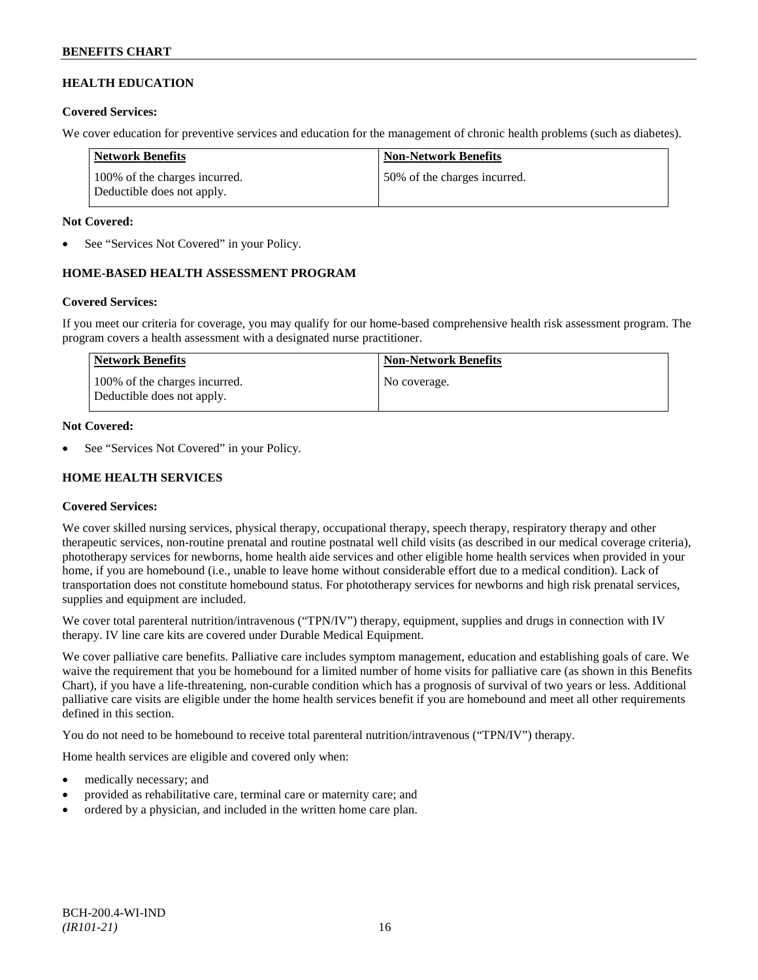# **HEALTH EDUCATION**

### **Covered Services:**

We cover education for preventive services and education for the management of chronic health problems (such as diabetes).

| Network Benefits                                            | <b>Non-Network Benefits</b>  |
|-------------------------------------------------------------|------------------------------|
| 100% of the charges incurred.<br>Deductible does not apply. | 50% of the charges incurred. |

### **Not Covered:**

See "Services Not Covered" in your Policy.

# **HOME-BASED HEALTH ASSESSMENT PROGRAM**

# **Covered Services:**

If you meet our criteria for coverage, you may qualify for our home-based comprehensive health risk assessment program. The program covers a health assessment with a designated nurse practitioner.

| <b>Network Benefits</b>                                     | <b>Non-Network Benefits</b> |
|-------------------------------------------------------------|-----------------------------|
| 100% of the charges incurred.<br>Deductible does not apply. | No coverage.                |

### **Not Covered:**

See "Services Not Covered" in your Policy.

# **HOME HEALTH SERVICES**

# **Covered Services:**

We cover skilled nursing services, physical therapy, occupational therapy, speech therapy, respiratory therapy and other therapeutic services, non-routine prenatal and routine postnatal well child visits (as described in our medical coverage criteria), phototherapy services for newborns, home health aide services and other eligible home health services when provided in your home, if you are homebound (i.e., unable to leave home without considerable effort due to a medical condition). Lack of transportation does not constitute homebound status. For phototherapy services for newborns and high risk prenatal services, supplies and equipment are included.

We cover total parenteral nutrition/intravenous ("TPN/IV") therapy, equipment, supplies and drugs in connection with IV therapy. IV line care kits are covered under Durable Medical Equipment.

We cover palliative care benefits. Palliative care includes symptom management, education and establishing goals of care. We waive the requirement that you be homebound for a limited number of home visits for palliative care (as shown in this Benefits Chart), if you have a life-threatening, non-curable condition which has a prognosis of survival of two years or less. Additional palliative care visits are eligible under the home health services benefit if you are homebound and meet all other requirements defined in this section.

You do not need to be homebound to receive total parenteral nutrition/intravenous ("TPN/IV") therapy.

Home health services are eligible and covered only when:

- medically necessary; and
- provided as rehabilitative care, terminal care or maternity care; and
- ordered by a physician, and included in the written home care plan.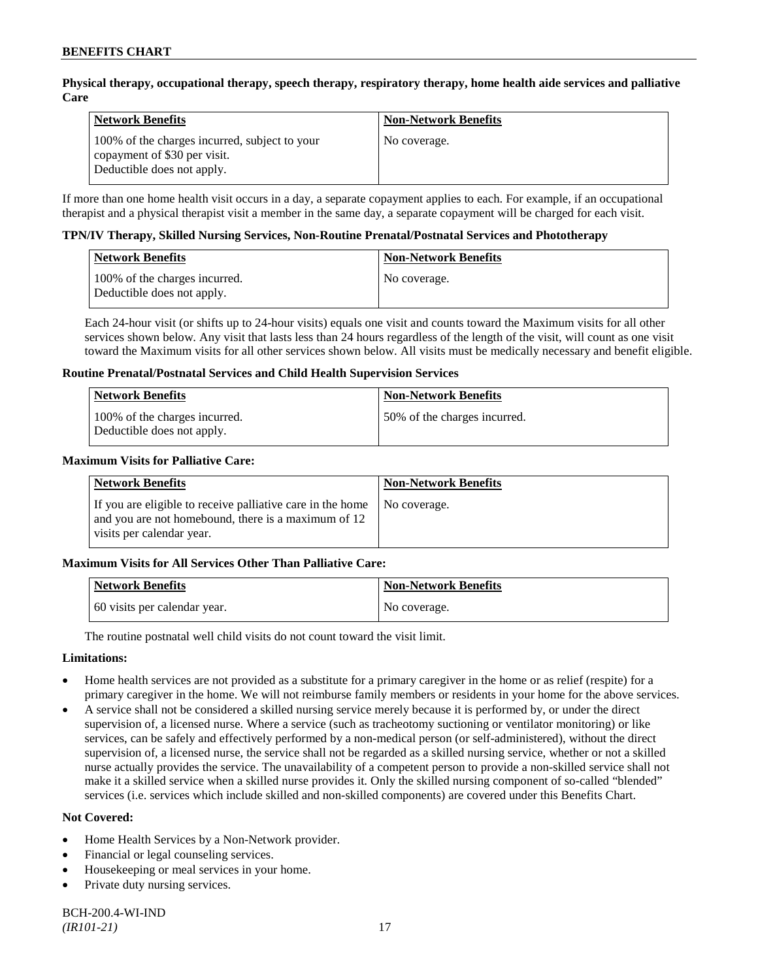# **Physical therapy, occupational therapy, speech therapy, respiratory therapy, home health aide services and palliative Care**

| <b>Network Benefits</b>                                                                                     | <b>Non-Network Benefits</b> |
|-------------------------------------------------------------------------------------------------------------|-----------------------------|
| 100% of the charges incurred, subject to your<br>copayment of \$30 per visit.<br>Deductible does not apply. | No coverage.                |

If more than one home health visit occurs in a day, a separate copayment applies to each. For example, if an occupational therapist and a physical therapist visit a member in the same day, a separate copayment will be charged for each visit.

### **TPN/IV Therapy, Skilled Nursing Services, Non-Routine Prenatal/Postnatal Services and Phototherapy**

| Network Benefits                                            | <b>Non-Network Benefits</b> |
|-------------------------------------------------------------|-----------------------------|
| 100% of the charges incurred.<br>Deductible does not apply. | No coverage.                |

Each 24-hour visit (or shifts up to 24-hour visits) equals one visit and counts toward the Maximum visits for all other services shown below. Any visit that lasts less than 24 hours regardless of the length of the visit, will count as one visit toward the Maximum visits for all other services shown below. All visits must be medically necessary and benefit eligible.

### **Routine Prenatal/Postnatal Services and Child Health Supervision Services**

| Network Benefits                                            | <b>Non-Network Benefits</b>  |
|-------------------------------------------------------------|------------------------------|
| 100% of the charges incurred.<br>Deductible does not apply. | 50% of the charges incurred. |

### **Maximum Visits for Palliative Care:**

| <b>Network Benefits</b>                                                                                                                        | <b>Non-Network Benefits</b> |
|------------------------------------------------------------------------------------------------------------------------------------------------|-----------------------------|
| If you are eligible to receive palliative care in the home<br>and you are not homebound, there is a maximum of 12<br>visits per calendar year. | No coverage.                |

# **Maximum Visits for All Services Other Than Palliative Care:**

| Network Benefits             | <b>Non-Network Benefits</b> |
|------------------------------|-----------------------------|
| 60 visits per calendar year. | No coverage.                |

The routine postnatal well child visits do not count toward the visit limit.

# **Limitations:**

- Home health services are not provided as a substitute for a primary caregiver in the home or as relief (respite) for a primary caregiver in the home. We will not reimburse family members or residents in your home for the above services.
- A service shall not be considered a skilled nursing service merely because it is performed by, or under the direct supervision of, a licensed nurse. Where a service (such as tracheotomy suctioning or ventilator monitoring) or like services, can be safely and effectively performed by a non-medical person (or self-administered), without the direct supervision of, a licensed nurse, the service shall not be regarded as a skilled nursing service, whether or not a skilled nurse actually provides the service. The unavailability of a competent person to provide a non-skilled service shall not make it a skilled service when a skilled nurse provides it. Only the skilled nursing component of so-called "blended" services (i.e. services which include skilled and non-skilled components) are covered under this Benefits Chart.

### **Not Covered:**

- Home Health Services by a Non-Network provider.
- Financial or legal counseling services.
- Housekeeping or meal services in your home.
- Private duty nursing services.

BCH-200.4-WI-IND *(IR101-21)* 17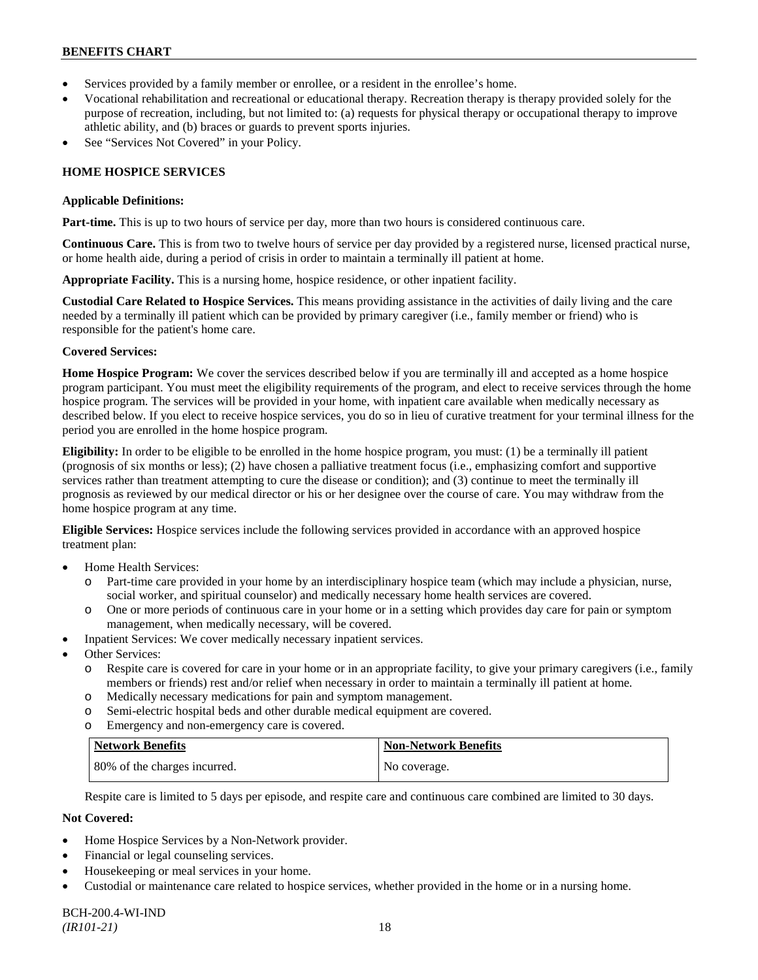- Services provided by a family member or enrollee, or a resident in the enrollee's home.
- Vocational rehabilitation and recreational or educational therapy. Recreation therapy is therapy provided solely for the purpose of recreation, including, but not limited to: (a) requests for physical therapy or occupational therapy to improve athletic ability, and (b) braces or guards to prevent sports injuries.
- See "Services Not Covered" in your Policy.

### **HOME HOSPICE SERVICES**

#### **Applicable Definitions:**

**Part-time.** This is up to two hours of service per day, more than two hours is considered continuous care.

**Continuous Care.** This is from two to twelve hours of service per day provided by a registered nurse, licensed practical nurse, or home health aide, during a period of crisis in order to maintain a terminally ill patient at home.

**Appropriate Facility.** This is a nursing home, hospice residence, or other inpatient facility.

**Custodial Care Related to Hospice Services.** This means providing assistance in the activities of daily living and the care needed by a terminally ill patient which can be provided by primary caregiver (i.e., family member or friend) who is responsible for the patient's home care.

### **Covered Services:**

**Home Hospice Program:** We cover the services described below if you are terminally ill and accepted as a home hospice program participant. You must meet the eligibility requirements of the program, and elect to receive services through the home hospice program. The services will be provided in your home, with inpatient care available when medically necessary as described below. If you elect to receive hospice services, you do so in lieu of curative treatment for your terminal illness for the period you are enrolled in the home hospice program.

**Eligibility:** In order to be eligible to be enrolled in the home hospice program, you must: (1) be a terminally ill patient (prognosis of six months or less); (2) have chosen a palliative treatment focus (i.e., emphasizing comfort and supportive services rather than treatment attempting to cure the disease or condition); and (3) continue to meet the terminally ill prognosis as reviewed by our medical director or his or her designee over the course of care. You may withdraw from the home hospice program at any time.

**Eligible Services:** Hospice services include the following services provided in accordance with an approved hospice treatment plan:

- Home Health Services:
	- o Part-time care provided in your home by an interdisciplinary hospice team (which may include a physician, nurse, social worker, and spiritual counselor) and medically necessary home health services are covered.
	- o One or more periods of continuous care in your home or in a setting which provides day care for pain or symptom management, when medically necessary, will be covered.
- Inpatient Services: We cover medically necessary inpatient services.
- Other Services:
	- o Respite care is covered for care in your home or in an appropriate facility, to give your primary caregivers (i.e., family members or friends) rest and/or relief when necessary in order to maintain a terminally ill patient at home*.*
	- o Medically necessary medications for pain and symptom management.
	- o Semi-electric hospital beds and other durable medical equipment are covered.
	- o Emergency and non-emergency care is covered.

| Network Benefits             | <b>Non-Network Benefits</b> |
|------------------------------|-----------------------------|
| 80% of the charges incurred. | No coverage.                |

Respite care is limited to 5 days per episode, and respite care and continuous care combined are limited to 30 days.

### **Not Covered:**

- Home Hospice Services by a Non-Network provider.
- Financial or legal counseling services.
- Housekeeping or meal services in your home.
- Custodial or maintenance care related to hospice services, whether provided in the home or in a nursing home.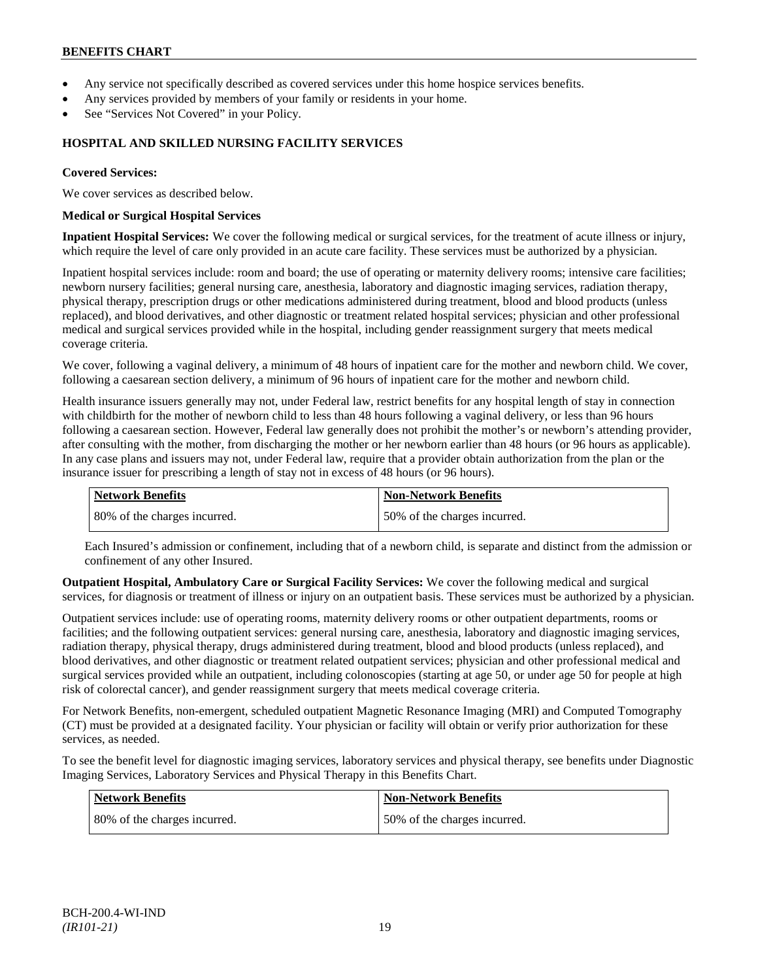- Any service not specifically described as covered services under this home hospice services benefits.
- Any services provided by members of your family or residents in your home.
- See "Services Not Covered" in your Policy.

# **HOSPITAL AND SKILLED NURSING FACILITY SERVICES**

#### **Covered Services:**

We cover services as described below.

#### **Medical or Surgical Hospital Services**

**Inpatient Hospital Services:** We cover the following medical or surgical services, for the treatment of acute illness or injury, which require the level of care only provided in an acute care facility. These services must be authorized by a physician.

Inpatient hospital services include: room and board; the use of operating or maternity delivery rooms; intensive care facilities; newborn nursery facilities; general nursing care, anesthesia, laboratory and diagnostic imaging services, radiation therapy, physical therapy, prescription drugs or other medications administered during treatment, blood and blood products (unless replaced), and blood derivatives, and other diagnostic or treatment related hospital services; physician and other professional medical and surgical services provided while in the hospital, including gender reassignment surgery that meets medical coverage criteria.

We cover, following a vaginal delivery, a minimum of 48 hours of inpatient care for the mother and newborn child. We cover, following a caesarean section delivery, a minimum of 96 hours of inpatient care for the mother and newborn child.

Health insurance issuers generally may not, under Federal law, restrict benefits for any hospital length of stay in connection with childbirth for the mother of newborn child to less than 48 hours following a vaginal delivery, or less than 96 hours following a caesarean section. However, Federal law generally does not prohibit the mother's or newborn's attending provider, after consulting with the mother, from discharging the mother or her newborn earlier than 48 hours (or 96 hours as applicable). In any case plans and issuers may not, under Federal law, require that a provider obtain authorization from the plan or the insurance issuer for prescribing a length of stay not in excess of 48 hours (or 96 hours).

| <b>Network Benefits</b>      | <b>Non-Network Benefits</b>  |
|------------------------------|------------------------------|
| 80% of the charges incurred. | 50% of the charges incurred. |

Each Insured's admission or confinement, including that of a newborn child, is separate and distinct from the admission or confinement of any other Insured.

**Outpatient Hospital, Ambulatory Care or Surgical Facility Services:** We cover the following medical and surgical services, for diagnosis or treatment of illness or injury on an outpatient basis. These services must be authorized by a physician.

Outpatient services include: use of operating rooms, maternity delivery rooms or other outpatient departments, rooms or facilities; and the following outpatient services: general nursing care, anesthesia, laboratory and diagnostic imaging services, radiation therapy, physical therapy, drugs administered during treatment, blood and blood products (unless replaced), and blood derivatives, and other diagnostic or treatment related outpatient services; physician and other professional medical and surgical services provided while an outpatient, including colonoscopies (starting at age 50, or under age 50 for people at high risk of colorectal cancer), and gender reassignment surgery that meets medical coverage criteria.

For Network Benefits, non-emergent, scheduled outpatient Magnetic Resonance Imaging (MRI) and Computed Tomography (CT) must be provided at a designated facility. Your physician or facility will obtain or verify prior authorization for these services, as needed.

To see the benefit level for diagnostic imaging services, laboratory services and physical therapy, see benefits under Diagnostic Imaging Services, Laboratory Services and Physical Therapy in this Benefits Chart.

| <b>Network Benefits</b>       | Non-Network Benefits          |
|-------------------------------|-------------------------------|
| 180% of the charges incurred. | 150% of the charges incurred. |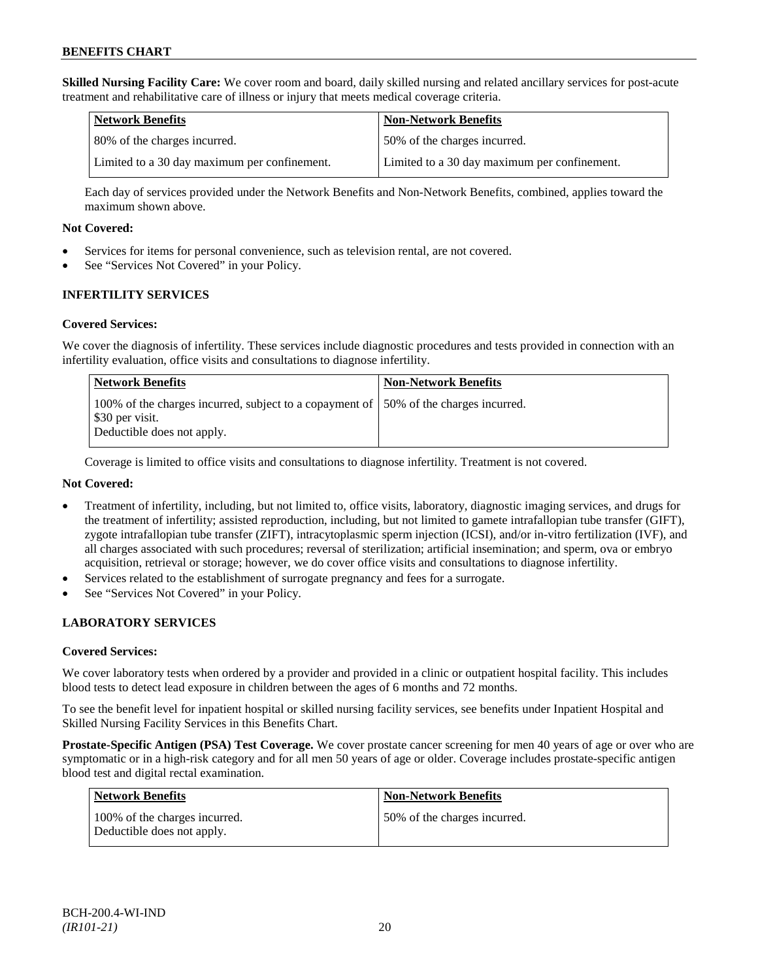**Skilled Nursing Facility Care:** We cover room and board, daily skilled nursing and related ancillary services for post-acute treatment and rehabilitative care of illness or injury that meets medical coverage criteria.

| Network Benefits                             | <b>Non-Network Benefits</b>                  |
|----------------------------------------------|----------------------------------------------|
| 80% of the charges incurred.                 | 50% of the charges incurred.                 |
| Limited to a 30 day maximum per confinement. | Limited to a 30 day maximum per confinement. |

Each day of services provided under the Network Benefits and Non-Network Benefits, combined, applies toward the maximum shown above.

### **Not Covered:**

- Services for items for personal convenience, such as television rental, are not covered.
- See "Services Not Covered" in your Policy.

# **INFERTILITY SERVICES**

### **Covered Services:**

We cover the diagnosis of infertility. These services include diagnostic procedures and tests provided in connection with an infertility evaluation, office visits and consultations to diagnose infertility.

| Network Benefits                                                                                                                       | <b>Non-Network Benefits</b> |
|----------------------------------------------------------------------------------------------------------------------------------------|-----------------------------|
| 100% of the charges incurred, subject to a copayment of 150% of the charges incurred.<br>\$30 per visit.<br>Deductible does not apply. |                             |

Coverage is limited to office visits and consultations to diagnose infertility. Treatment is not covered.

### **Not Covered:**

- Treatment of infertility, including, but not limited to, office visits, laboratory, diagnostic imaging services, and drugs for the treatment of infertility; assisted reproduction, including, but not limited to gamete intrafallopian tube transfer (GIFT), zygote intrafallopian tube transfer (ZIFT), intracytoplasmic sperm injection (ICSI), and/or in-vitro fertilization (IVF), and all charges associated with such procedures; reversal of sterilization; artificial insemination; and sperm, ova or embryo acquisition, retrieval or storage; however, we do cover office visits and consultations to diagnose infertility.
- Services related to the establishment of surrogate pregnancy and fees for a surrogate.
- See "Services Not Covered" in your Policy.

# **LABORATORY SERVICES**

#### **Covered Services:**

We cover laboratory tests when ordered by a provider and provided in a clinic or outpatient hospital facility. This includes blood tests to detect lead exposure in children between the ages of 6 months and 72 months.

To see the benefit level for inpatient hospital or skilled nursing facility services, see benefits under Inpatient Hospital and Skilled Nursing Facility Services in this Benefits Chart.

**Prostate-Specific Antigen (PSA) Test Coverage.** We cover prostate cancer screening for men 40 years of age or over who are symptomatic or in a high-risk category and for all men 50 years of age or older. Coverage includes prostate-specific antigen blood test and digital rectal examination.

| Network Benefits                                            | <b>Non-Network Benefits</b>  |
|-------------------------------------------------------------|------------------------------|
| 100% of the charges incurred.<br>Deductible does not apply. | 50% of the charges incurred. |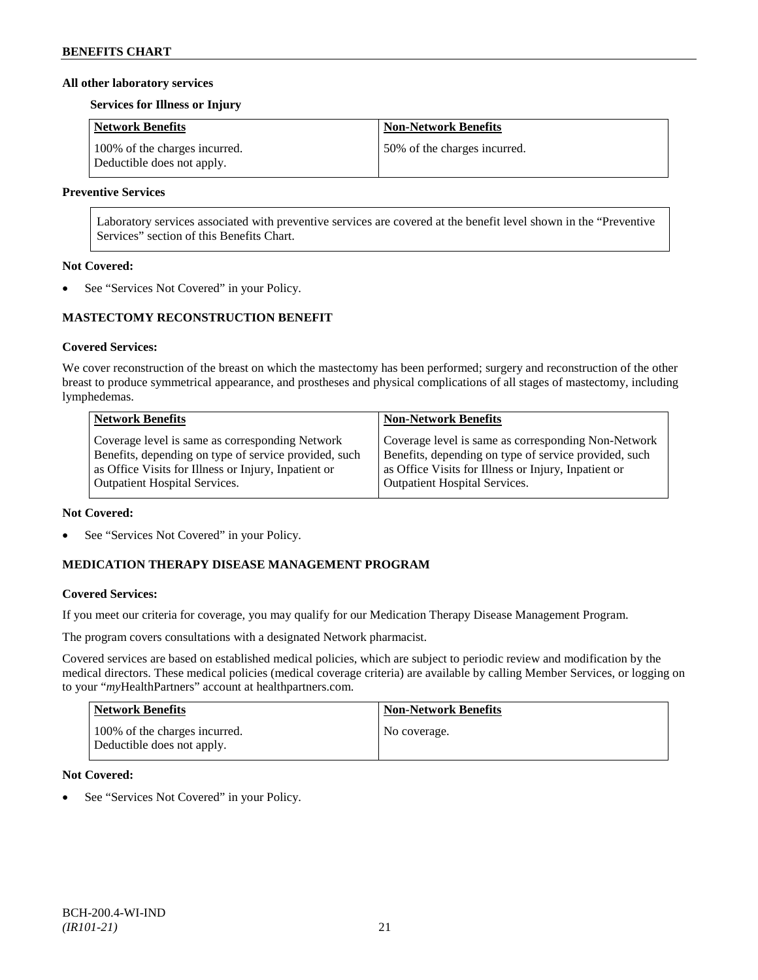### **All other laboratory services**

#### **Services for Illness or Injury**

| <b>Network Benefits</b>                                     | <b>Non-Network Benefits</b>  |
|-------------------------------------------------------------|------------------------------|
| 100% of the charges incurred.<br>Deductible does not apply. | 50% of the charges incurred. |

### **Preventive Services**

Laboratory services associated with preventive services are covered at the benefit level shown in the "Preventive Services" section of this Benefits Chart.

### **Not Covered:**

See "Services Not Covered" in your Policy.

# **MASTECTOMY RECONSTRUCTION BENEFIT**

### **Covered Services:**

We cover reconstruction of the breast on which the mastectomy has been performed; surgery and reconstruction of the other breast to produce symmetrical appearance, and prostheses and physical complications of all stages of mastectomy, including lymphedemas.

| <b>Network Benefits</b>                               | <b>Non-Network Benefits</b>                           |
|-------------------------------------------------------|-------------------------------------------------------|
| Coverage level is same as corresponding Network       | Coverage level is same as corresponding Non-Network   |
| Benefits, depending on type of service provided, such | Benefits, depending on type of service provided, such |
| as Office Visits for Illness or Injury, Inpatient or  | as Office Visits for Illness or Injury, Inpatient or  |
| <b>Outpatient Hospital Services.</b>                  | Outpatient Hospital Services.                         |

#### **Not Covered:**

See "Services Not Covered" in your Policy.

# **MEDICATION THERAPY DISEASE MANAGEMENT PROGRAM**

# **Covered Services:**

If you meet our criteria for coverage, you may qualify for our Medication Therapy Disease Management Program.

The program covers consultations with a designated Network pharmacist.

Covered services are based on established medical policies, which are subject to periodic review and modification by the medical directors. These medical policies (medical coverage criteria) are available by calling Member Services, or logging on to your "*my*HealthPartners" account at [healthpartners.com.](http://www.healthpartners.com/)

| Network Benefits                                            | <b>Non-Network Benefits</b> |
|-------------------------------------------------------------|-----------------------------|
| 100% of the charges incurred.<br>Deductible does not apply. | No coverage.                |

### **Not Covered:**

See "Services Not Covered" in your Policy.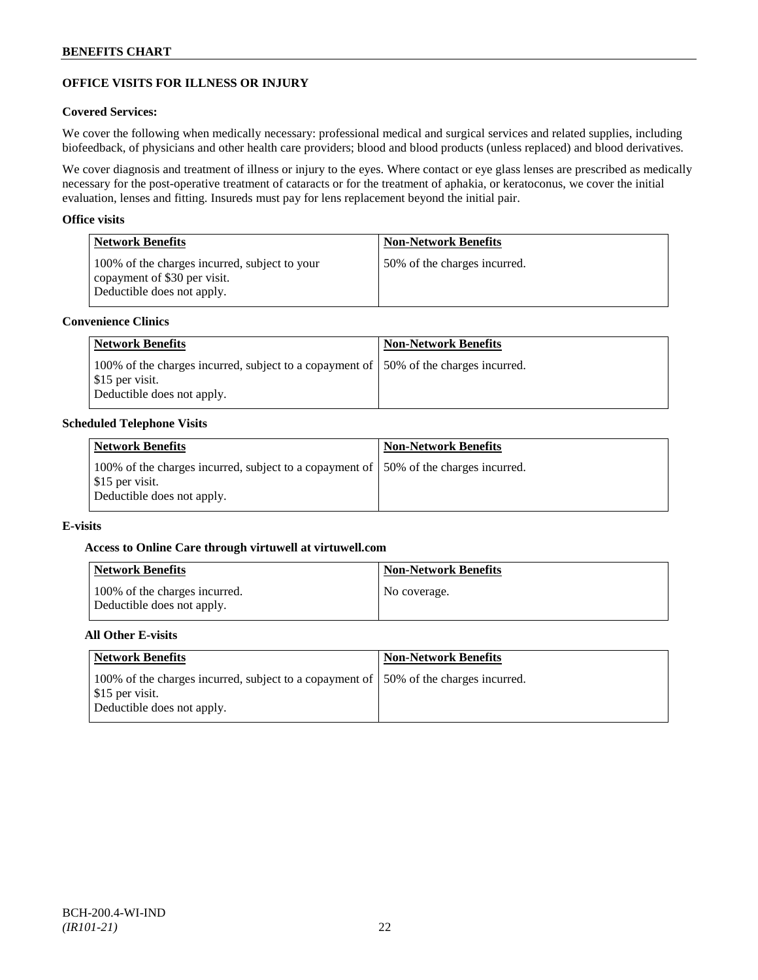# **OFFICE VISITS FOR ILLNESS OR INJURY**

### **Covered Services:**

We cover the following when medically necessary: professional medical and surgical services and related supplies, including biofeedback, of physicians and other health care providers; blood and blood products (unless replaced) and blood derivatives.

We cover diagnosis and treatment of illness or injury to the eyes. Where contact or eye glass lenses are prescribed as medically necessary for the post-operative treatment of cataracts or for the treatment of aphakia, or keratoconus, we cover the initial evaluation, lenses and fitting. Insureds must pay for lens replacement beyond the initial pair.

### **Office visits**

| <b>Network Benefits</b>                                                                                     | <b>Non-Network Benefits</b>  |
|-------------------------------------------------------------------------------------------------------------|------------------------------|
| 100% of the charges incurred, subject to your<br>copayment of \$30 per visit.<br>Deductible does not apply. | 50% of the charges incurred. |

# **Convenience Clinics**

| Network Benefits                                                                                                                                     | <b>Non-Network Benefits</b> |
|------------------------------------------------------------------------------------------------------------------------------------------------------|-----------------------------|
| 100% of the charges incurred, subject to a copayment of 150% of the charges incurred.<br>$\frac{1}{2}$ \$15 per visit.<br>Deductible does not apply. |                             |

### **Scheduled Telephone Visits**

| <b>Network Benefits</b>                                                                                                                | <b>Non-Network Benefits</b> |
|----------------------------------------------------------------------------------------------------------------------------------------|-----------------------------|
| 100% of the charges incurred, subject to a copayment of 150% of the charges incurred.<br>\$15 per visit.<br>Deductible does not apply. |                             |

### **E-visits**

# **Access to Online Care through virtuwell a[t virtuwell.com](http://www.virtuwell.com/)**

| <b>Network Benefits</b>                                     | Non-Network Benefits |
|-------------------------------------------------------------|----------------------|
| 100% of the charges incurred.<br>Deductible does not apply. | No coverage.         |

# **All Other E-visits**

| <b>Network Benefits</b>                                                                                                                | <b>Non-Network Benefits</b> |
|----------------------------------------------------------------------------------------------------------------------------------------|-----------------------------|
| 100% of the charges incurred, subject to a copayment of 150% of the charges incurred.<br>\$15 per visit.<br>Deductible does not apply. |                             |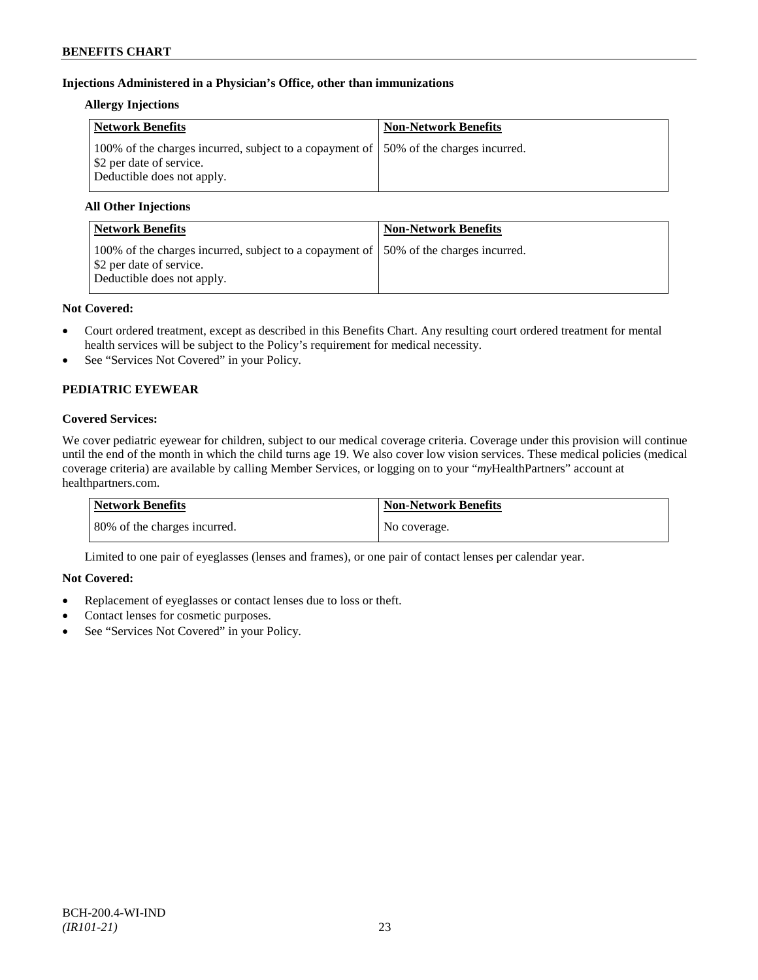# **Injections Administered in a Physician's Office, other than immunizations**

### **Allergy Injections**

| Network Benefits                                                                                                                                | <b>Non-Network Benefits</b> |
|-------------------------------------------------------------------------------------------------------------------------------------------------|-----------------------------|
| 100% of the charges incurred, subject to a copayment of 150% of the charges incurred.<br>\$2 per date of service.<br>Deductible does not apply. |                             |

# **All Other Injections**

| <b>Network Benefits</b>                                                                                                                         | <b>Non-Network Benefits</b> |
|-------------------------------------------------------------------------------------------------------------------------------------------------|-----------------------------|
| 100% of the charges incurred, subject to a copayment of 150% of the charges incurred.<br>\$2 per date of service.<br>Deductible does not apply. |                             |

### **Not Covered:**

- Court ordered treatment, except as described in this Benefits Chart. Any resulting court ordered treatment for mental health services will be subject to the Policy's requirement for medical necessity.
- See "Services Not Covered" in your Policy.

# **PEDIATRIC EYEWEAR**

# **Covered Services:**

We cover pediatric eyewear for children, subject to our medical coverage criteria. Coverage under this provision will continue until the end of the month in which the child turns age 19. We also cover low vision services. These medical policies (medical coverage criteria) are available by calling Member Services, or logging on to your "*my*HealthPartners" account at [healthpartners.com.](http://www.healthpartners.com/)

| Network Benefits             | <b>Non-Network Benefits</b> |
|------------------------------|-----------------------------|
| 80% of the charges incurred. | No coverage.                |

Limited to one pair of eyeglasses (lenses and frames), or one pair of contact lenses per calendar year.

# **Not Covered:**

- Replacement of eyeglasses or contact lenses due to loss or theft.
- Contact lenses for cosmetic purposes.
- See "Services Not Covered" in your Policy.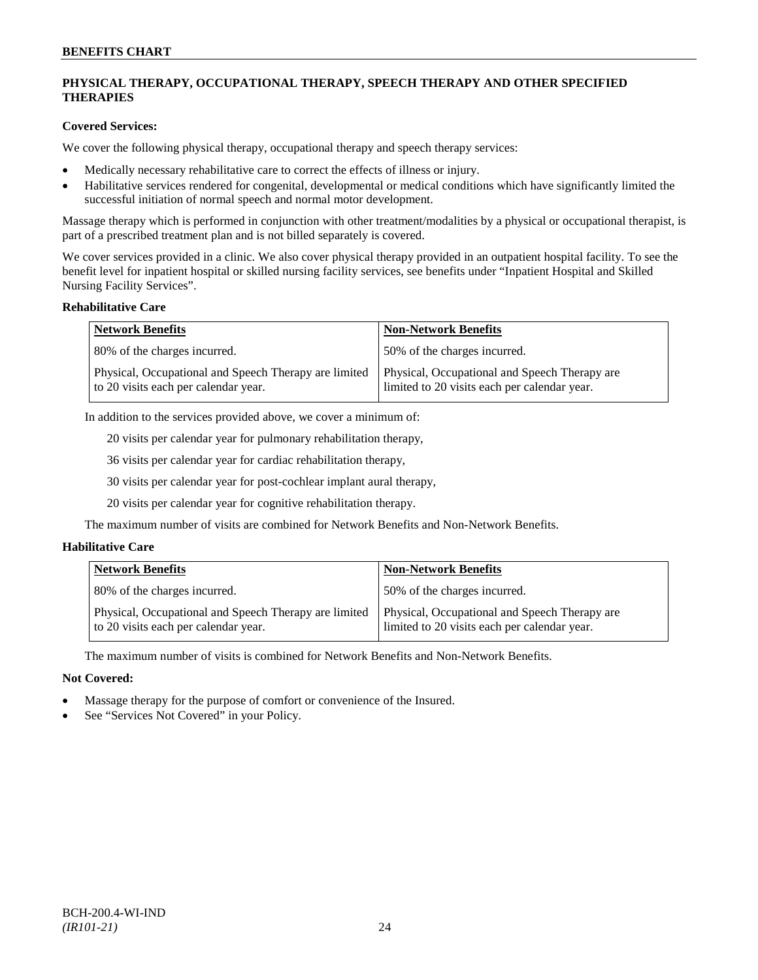# **PHYSICAL THERAPY, OCCUPATIONAL THERAPY, SPEECH THERAPY AND OTHER SPECIFIED THERAPIES**

### **Covered Services:**

We cover the following physical therapy, occupational therapy and speech therapy services:

- Medically necessary rehabilitative care to correct the effects of illness or injury.
- Habilitative services rendered for congenital, developmental or medical conditions which have significantly limited the successful initiation of normal speech and normal motor development.

Massage therapy which is performed in conjunction with other treatment/modalities by a physical or occupational therapist, is part of a prescribed treatment plan and is not billed separately is covered.

We cover services provided in a clinic. We also cover physical therapy provided in an outpatient hospital facility. To see the benefit level for inpatient hospital or skilled nursing facility services, see benefits under "Inpatient Hospital and Skilled Nursing Facility Services".

#### **Rehabilitative Care**

| <b>Network Benefits</b>                                                                       | <b>Non-Network Benefits</b>                                                                   |
|-----------------------------------------------------------------------------------------------|-----------------------------------------------------------------------------------------------|
| 80% of the charges incurred.                                                                  | 50% of the charges incurred.                                                                  |
| Physical, Occupational and Speech Therapy are limited<br>to 20 visits each per calendar year. | Physical, Occupational and Speech Therapy are<br>limited to 20 visits each per calendar year. |

In addition to the services provided above, we cover a minimum of:

20 visits per calendar year for pulmonary rehabilitation therapy,

36 visits per calendar year for cardiac rehabilitation therapy,

30 visits per calendar year for post-cochlear implant aural therapy,

20 visits per calendar year for cognitive rehabilitation therapy.

The maximum number of visits are combined for Network Benefits and Non-Network Benefits.

# **Habilitative Care**

| <b>Network Benefits</b>                                                                       | <b>Non-Network Benefits</b>                                                                   |
|-----------------------------------------------------------------------------------------------|-----------------------------------------------------------------------------------------------|
| 80% of the charges incurred.                                                                  | 150% of the charges incurred.                                                                 |
| Physical, Occupational and Speech Therapy are limited<br>to 20 visits each per calendar year. | Physical, Occupational and Speech Therapy are<br>limited to 20 visits each per calendar year. |

The maximum number of visits is combined for Network Benefits and Non-Network Benefits.

# **Not Covered:**

- Massage therapy for the purpose of comfort or convenience of the Insured.
- See "Services Not Covered" in your Policy.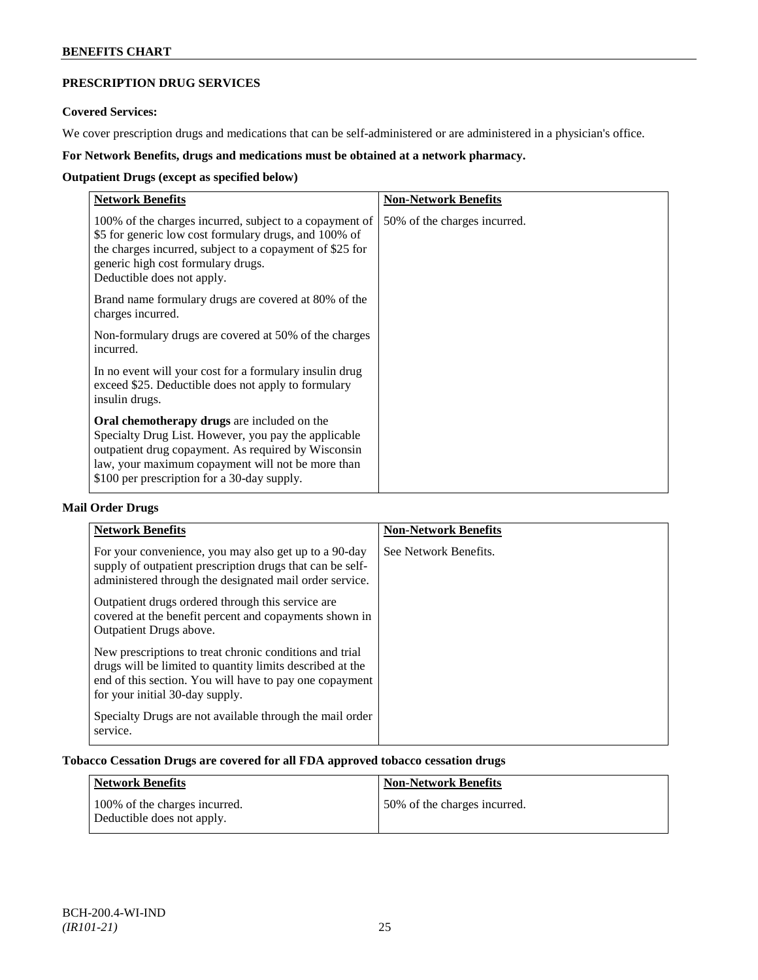# **PRESCRIPTION DRUG SERVICES**

# **Covered Services:**

We cover prescription drugs and medications that can be self-administered or are administered in a physician's office.

# **For Network Benefits, drugs and medications must be obtained at a network pharmacy.**

# **Outpatient Drugs (except as specified below)**

| <b>Network Benefits</b>                                                                                                                                                                                                                                        | <b>Non-Network Benefits</b>  |
|----------------------------------------------------------------------------------------------------------------------------------------------------------------------------------------------------------------------------------------------------------------|------------------------------|
| 100% of the charges incurred, subject to a copayment of<br>\$5 for generic low cost formulary drugs, and 100% of<br>the charges incurred, subject to a copayment of \$25 for<br>generic high cost formulary drugs.<br>Deductible does not apply.               | 50% of the charges incurred. |
| Brand name formulary drugs are covered at 80% of the<br>charges incurred.                                                                                                                                                                                      |                              |
| Non-formulary drugs are covered at 50% of the charges<br>incurred.                                                                                                                                                                                             |                              |
| In no event will your cost for a formulary insulin drug<br>exceed \$25. Deductible does not apply to formulary<br>insulin drugs.                                                                                                                               |                              |
| Oral chemotherapy drugs are included on the<br>Specialty Drug List. However, you pay the applicable<br>outpatient drug copayment. As required by Wisconsin<br>law, your maximum copayment will not be more than<br>\$100 per prescription for a 30-day supply. |                              |

# **Mail Order Drugs**

| <b>Network Benefits</b>                                                                                                                                                                                            | <b>Non-Network Benefits</b> |
|--------------------------------------------------------------------------------------------------------------------------------------------------------------------------------------------------------------------|-----------------------------|
| For your convenience, you may also get up to a 90-day<br>supply of outpatient prescription drugs that can be self-<br>administered through the designated mail order service.                                      | See Network Benefits.       |
| Outpatient drugs ordered through this service are.<br>covered at the benefit percent and copayments shown in<br>Outpatient Drugs above.                                                                            |                             |
| New prescriptions to treat chronic conditions and trial<br>drugs will be limited to quantity limits described at the<br>end of this section. You will have to pay one copayment<br>for your initial 30-day supply. |                             |
| Specialty Drugs are not available through the mail order<br>service.                                                                                                                                               |                             |

## **Tobacco Cessation Drugs are covered for all FDA approved tobacco cessation drugs**

| Network Benefits                                            | <b>Non-Network Benefits</b>  |
|-------------------------------------------------------------|------------------------------|
| 100% of the charges incurred.<br>Deductible does not apply. | 50% of the charges incurred. |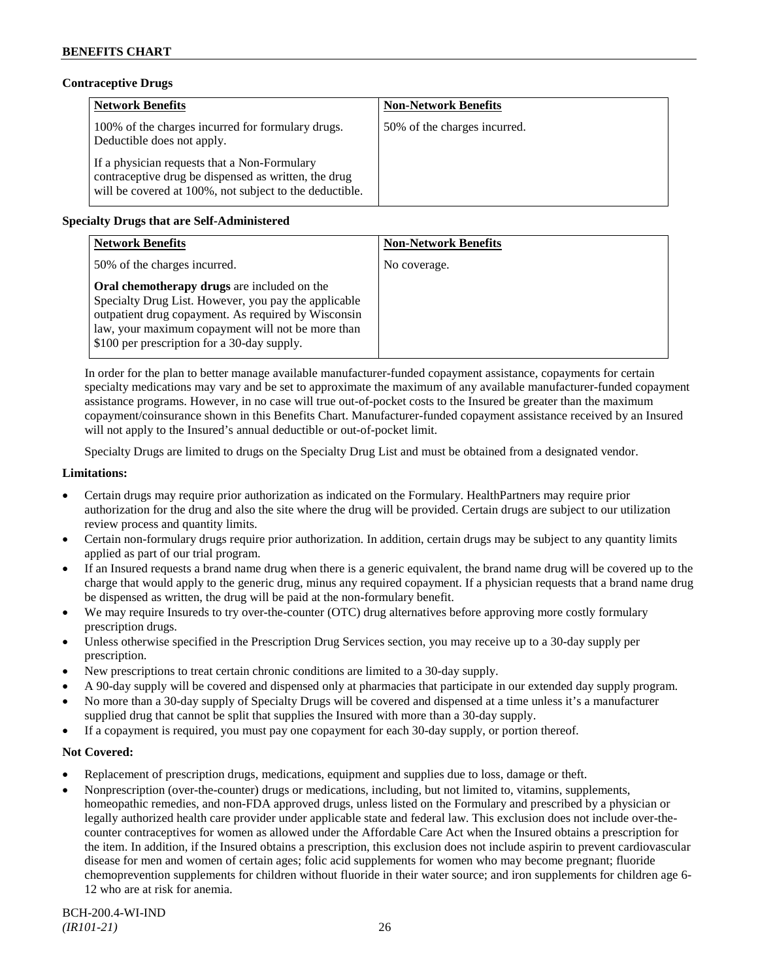### **Contraceptive Drugs**

| <b>Network Benefits</b>                                                                                                                                         | <b>Non-Network Benefits</b>  |
|-----------------------------------------------------------------------------------------------------------------------------------------------------------------|------------------------------|
| 100% of the charges incurred for formulary drugs.<br>Deductible does not apply.                                                                                 | 50% of the charges incurred. |
| If a physician requests that a Non-Formulary<br>contraceptive drug be dispensed as written, the drug<br>will be covered at 100%, not subject to the deductible. |                              |

# **Specialty Drugs that are Self-Administered**

| <b>Network Benefits</b>                                                                                                                                                                                                                                        | <b>Non-Network Benefits</b> |
|----------------------------------------------------------------------------------------------------------------------------------------------------------------------------------------------------------------------------------------------------------------|-----------------------------|
| 50% of the charges incurred.                                                                                                                                                                                                                                   | No coverage.                |
| Oral chemotherapy drugs are included on the<br>Specialty Drug List. However, you pay the applicable<br>outpatient drug copayment. As required by Wisconsin<br>law, your maximum copayment will not be more than<br>\$100 per prescription for a 30-day supply. |                             |

In order for the plan to better manage available manufacturer-funded copayment assistance, copayments for certain specialty medications may vary and be set to approximate the maximum of any available manufacturer-funded copayment assistance programs. However, in no case will true out-of-pocket costs to the Insured be greater than the maximum copayment/coinsurance shown in this Benefits Chart. Manufacturer-funded copayment assistance received by an Insured will not apply to the Insured's annual deductible or out-of-pocket limit.

Specialty Drugs are limited to drugs on the Specialty Drug List and must be obtained from a designated vendor.

### **Limitations:**

- Certain drugs may require prior authorization as indicated on the Formulary. HealthPartners may require prior authorization for the drug and also the site where the drug will be provided. Certain drugs are subject to our utilization review process and quantity limits.
- Certain non-formulary drugs require prior authorization. In addition, certain drugs may be subject to any quantity limits applied as part of our trial program.
- If an Insured requests a brand name drug when there is a generic equivalent, the brand name drug will be covered up to the charge that would apply to the generic drug, minus any required copayment. If a physician requests that a brand name drug be dispensed as written, the drug will be paid at the non-formulary benefit.
- We may require Insureds to try over-the-counter (OTC) drug alternatives before approving more costly formulary prescription drugs.
- Unless otherwise specified in the Prescription Drug Services section, you may receive up to a 30-day supply per prescription.
- New prescriptions to treat certain chronic conditions are limited to a 30-day supply.
- A 90-day supply will be covered and dispensed only at pharmacies that participate in our extended day supply program.
- No more than a 30-day supply of Specialty Drugs will be covered and dispensed at a time unless it's a manufacturer supplied drug that cannot be split that supplies the Insured with more than a 30-day supply.
- If a copayment is required, you must pay one copayment for each 30-day supply, or portion thereof.

# **Not Covered:**

- Replacement of prescription drugs, medications, equipment and supplies due to loss, damage or theft.
- Nonprescription (over-the-counter) drugs or medications, including, but not limited to, vitamins, supplements, homeopathic remedies, and non-FDA approved drugs, unless listed on the Formulary and prescribed by a physician or legally authorized health care provider under applicable state and federal law. This exclusion does not include over-thecounter contraceptives for women as allowed under the Affordable Care Act when the Insured obtains a prescription for the item. In addition, if the Insured obtains a prescription, this exclusion does not include aspirin to prevent cardiovascular disease for men and women of certain ages; folic acid supplements for women who may become pregnant; fluoride chemoprevention supplements for children without fluoride in their water source; and iron supplements for children age 6- 12 who are at risk for anemia.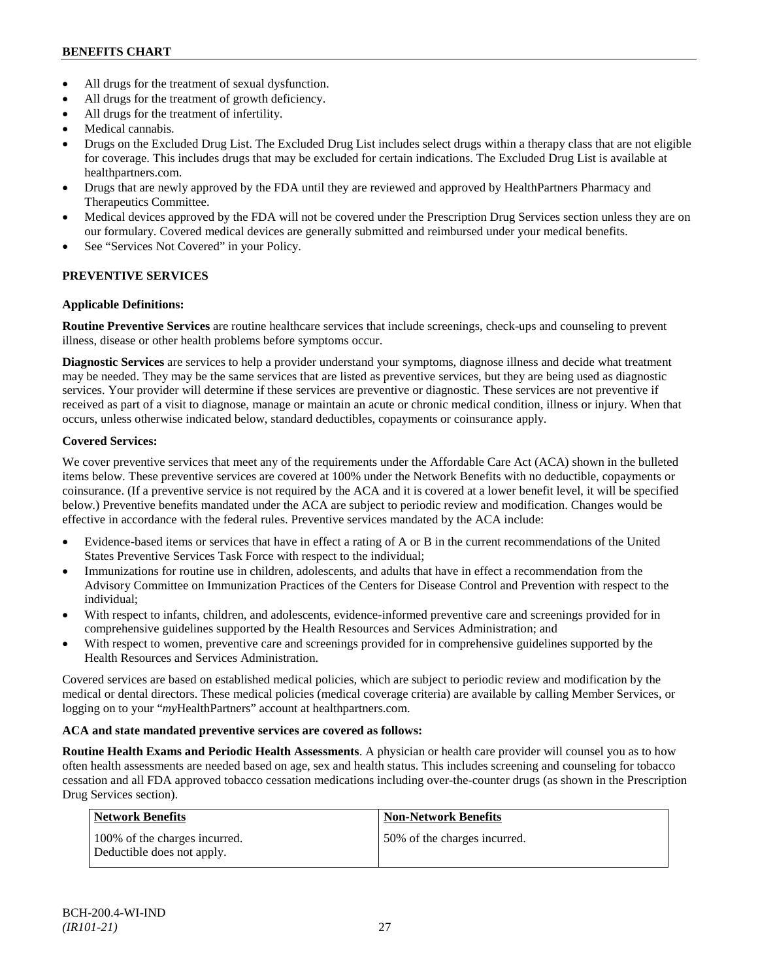- All drugs for the treatment of sexual dysfunction.
- All drugs for the treatment of growth deficiency.
- All drugs for the treatment of infertility.
- Medical cannabis.
- Drugs on the Excluded Drug List. The Excluded Drug List includes select drugs within a therapy class that are not eligible for coverage. This includes drugs that may be excluded for certain indications. The Excluded Drug List is available at [healthpartners.com.](http://www.healthpartners.com/)
- Drugs that are newly approved by the FDA until they are reviewed and approved by HealthPartners Pharmacy and Therapeutics Committee.
- Medical devices approved by the FDA will not be covered under the Prescription Drug Services section unless they are on our formulary. Covered medical devices are generally submitted and reimbursed under your medical benefits.
- See "Services Not Covered" in your Policy.

# **PREVENTIVE SERVICES**

# **Applicable Definitions:**

**Routine Preventive Services** are routine healthcare services that include screenings, check-ups and counseling to prevent illness, disease or other health problems before symptoms occur.

**Diagnostic Services** are services to help a provider understand your symptoms, diagnose illness and decide what treatment may be needed. They may be the same services that are listed as preventive services, but they are being used as diagnostic services. Your provider will determine if these services are preventive or diagnostic. These services are not preventive if received as part of a visit to diagnose, manage or maintain an acute or chronic medical condition, illness or injury. When that occurs, unless otherwise indicated below, standard deductibles, copayments or coinsurance apply.

# **Covered Services:**

We cover preventive services that meet any of the requirements under the Affordable Care Act (ACA) shown in the bulleted items below. These preventive services are covered at 100% under the Network Benefits with no deductible, copayments or coinsurance. (If a preventive service is not required by the ACA and it is covered at a lower benefit level, it will be specified below.) Preventive benefits mandated under the ACA are subject to periodic review and modification. Changes would be effective in accordance with the federal rules. Preventive services mandated by the ACA include:

- Evidence-based items or services that have in effect a rating of A or B in the current recommendations of the United States Preventive Services Task Force with respect to the individual;
- Immunizations for routine use in children, adolescents, and adults that have in effect a recommendation from the Advisory Committee on Immunization Practices of the Centers for Disease Control and Prevention with respect to the individual;
- With respect to infants, children, and adolescents, evidence-informed preventive care and screenings provided for in comprehensive guidelines supported by the Health Resources and Services Administration; and
- With respect to women, preventive care and screenings provided for in comprehensive guidelines supported by the Health Resources and Services Administration.

Covered services are based on established medical policies, which are subject to periodic review and modification by the medical or dental directors. These medical policies (medical coverage criteria) are available by calling Member Services, or logging on to your "*my*HealthPartners" account at [healthpartners.com.](http://www.healthpartners.com/)

# **ACA and state mandated preventive services are covered as follows:**

**Routine Health Exams and Periodic Health Assessments**. A physician or health care provider will counsel you as to how often health assessments are needed based on age, sex and health status. This includes screening and counseling for tobacco cessation and all FDA approved tobacco cessation medications including over-the-counter drugs (as shown in the Prescription Drug Services section).

| <b>Network Benefits</b>                                     | <b>Non-Network Benefits</b>  |
|-------------------------------------------------------------|------------------------------|
| 100% of the charges incurred.<br>Deductible does not apply. | 50% of the charges incurred. |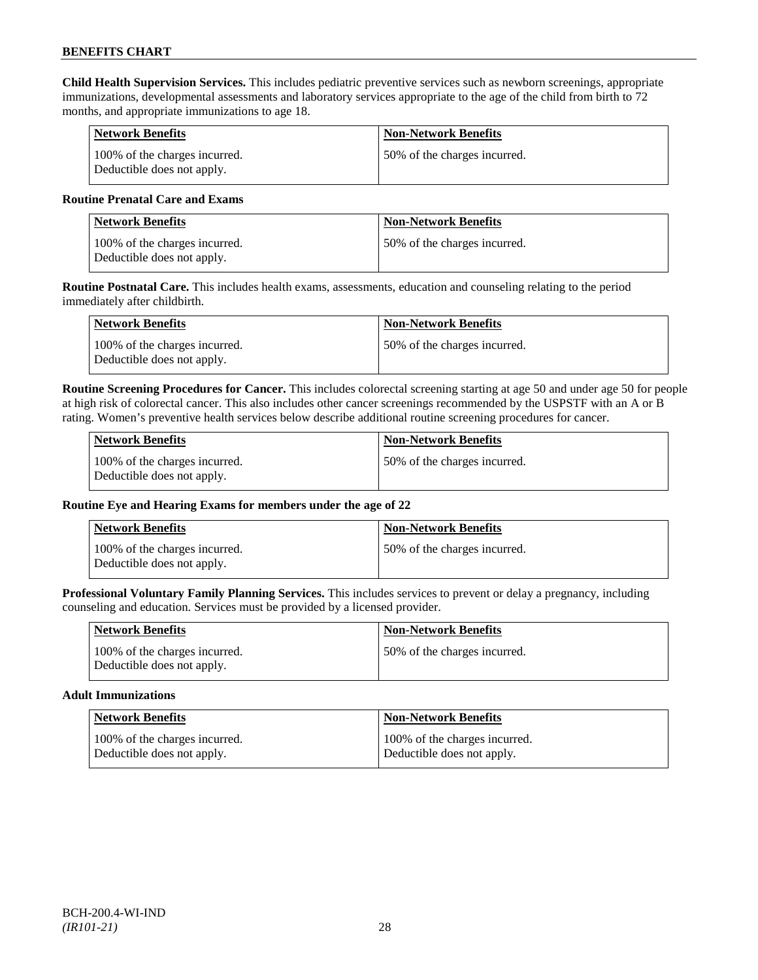**Child Health Supervision Services.** This includes pediatric preventive services such as newborn screenings, appropriate immunizations, developmental assessments and laboratory services appropriate to the age of the child from birth to 72 months, and appropriate immunizations to age 18.

| Network Benefits                                            | <b>Non-Network Benefits</b>   |
|-------------------------------------------------------------|-------------------------------|
| 100% of the charges incurred.<br>Deductible does not apply. | 150% of the charges incurred. |

### **Routine Prenatal Care and Exams**

| <b>Network Benefits</b>                                     | <b>Non-Network Benefits</b>  |
|-------------------------------------------------------------|------------------------------|
| 100% of the charges incurred.<br>Deductible does not apply. | 50% of the charges incurred. |

**Routine Postnatal Care.** This includes health exams, assessments, education and counseling relating to the period immediately after childbirth.

| Network Benefits                                            | <b>Non-Network Benefits</b>  |
|-------------------------------------------------------------|------------------------------|
| 100% of the charges incurred.<br>Deductible does not apply. | 50% of the charges incurred. |

**Routine Screening Procedures for Cancer.** This includes colorectal screening starting at age 50 and under age 50 for people at high risk of colorectal cancer. This also includes other cancer screenings recommended by the USPSTF with an A or B rating. Women's preventive health services below describe additional routine screening procedures for cancer.

| Network Benefits                                            | <b>Non-Network Benefits</b>  |
|-------------------------------------------------------------|------------------------------|
| 100% of the charges incurred.<br>Deductible does not apply. | 50% of the charges incurred. |

# **Routine Eye and Hearing Exams for members under the age of 22**

| <b>Network Benefits</b>                                     | <b>Non-Network Benefits</b>  |
|-------------------------------------------------------------|------------------------------|
| 100% of the charges incurred.<br>Deductible does not apply. | 50% of the charges incurred. |

**Professional Voluntary Family Planning Services.** This includes services to prevent or delay a pregnancy, including counseling and education. Services must be provided by a licensed provider.

| <b>Network Benefits</b>                                     | <b>Non-Network Benefits</b>   |
|-------------------------------------------------------------|-------------------------------|
| 100% of the charges incurred.<br>Deductible does not apply. | 150% of the charges incurred. |

#### **Adult Immunizations**

| <b>Network Benefits</b>       | <b>Non-Network Benefits</b>   |
|-------------------------------|-------------------------------|
| 100% of the charges incurred. | 100% of the charges incurred. |
| Deductible does not apply.    | Deductible does not apply.    |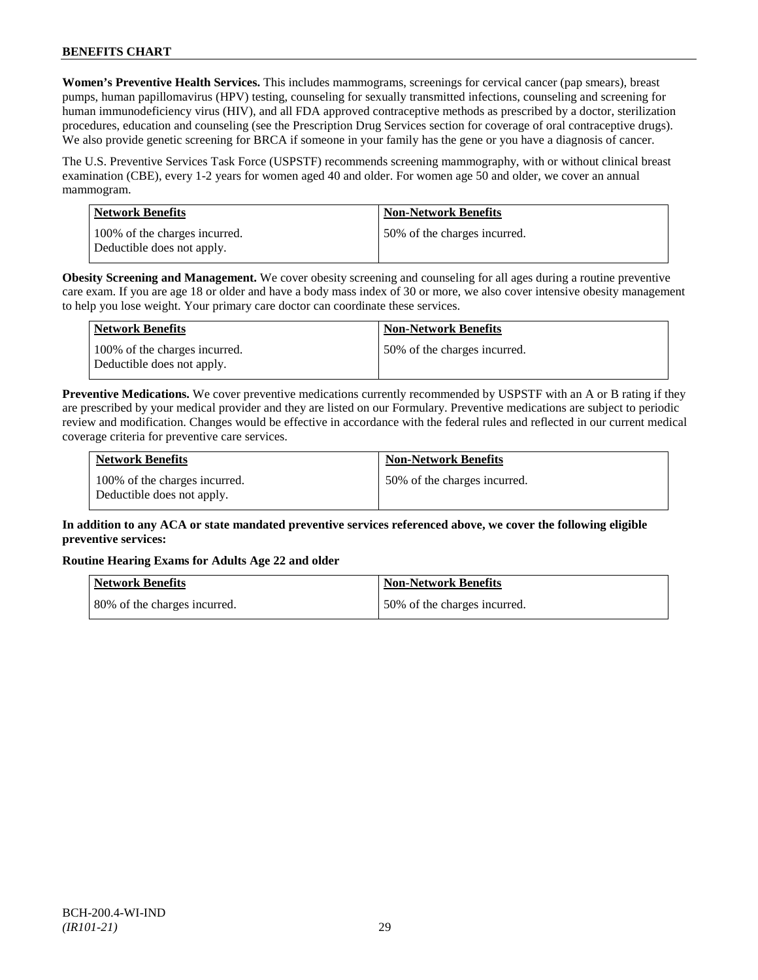**Women's Preventive Health Services.** This includes mammograms, screenings for cervical cancer (pap smears), breast pumps, human papillomavirus (HPV) testing, counseling for sexually transmitted infections, counseling and screening for human immunodeficiency virus (HIV), and all FDA approved contraceptive methods as prescribed by a doctor, sterilization procedures, education and counseling (see the Prescription Drug Services section for coverage of oral contraceptive drugs). We also provide genetic screening for BRCA if someone in your family has the gene or you have a diagnosis of cancer.

The U.S. Preventive Services Task Force (USPSTF) recommends screening mammography, with or without clinical breast examination (CBE), every 1-2 years for women aged 40 and older. For women age 50 and older, we cover an annual mammogram.

| Network Benefits                                            | <b>Non-Network Benefits</b>   |
|-------------------------------------------------------------|-------------------------------|
| 100% of the charges incurred.<br>Deductible does not apply. | 150% of the charges incurred. |

**Obesity Screening and Management.** We cover obesity screening and counseling for all ages during a routine preventive care exam. If you are age 18 or older and have a body mass index of 30 or more, we also cover intensive obesity management to help you lose weight. Your primary care doctor can coordinate these services.

| <b>Network Benefits</b>                                     | <b>Non-Network Benefits</b>   |
|-------------------------------------------------------------|-------------------------------|
| 100% of the charges incurred.<br>Deductible does not apply. | 150% of the charges incurred. |

**Preventive Medications.** We cover preventive medications currently recommended by USPSTF with an A or B rating if they are prescribed by your medical provider and they are listed on our Formulary. Preventive medications are subject to periodic review and modification. Changes would be effective in accordance with the federal rules and reflected in our current medical coverage criteria for preventive care services.

| <b>Network Benefits</b>                                     | <b>Non-Network Benefits</b>  |
|-------------------------------------------------------------|------------------------------|
| 100% of the charges incurred.<br>Deductible does not apply. | 50% of the charges incurred. |

# **In addition to any ACA or state mandated preventive services referenced above, we cover the following eligible preventive services:**

# **Routine Hearing Exams for Adults Age 22 and older**

| Network Benefits             | Non-Network Benefits         |
|------------------------------|------------------------------|
| 80% of the charges incurred. | 50% of the charges incurred. |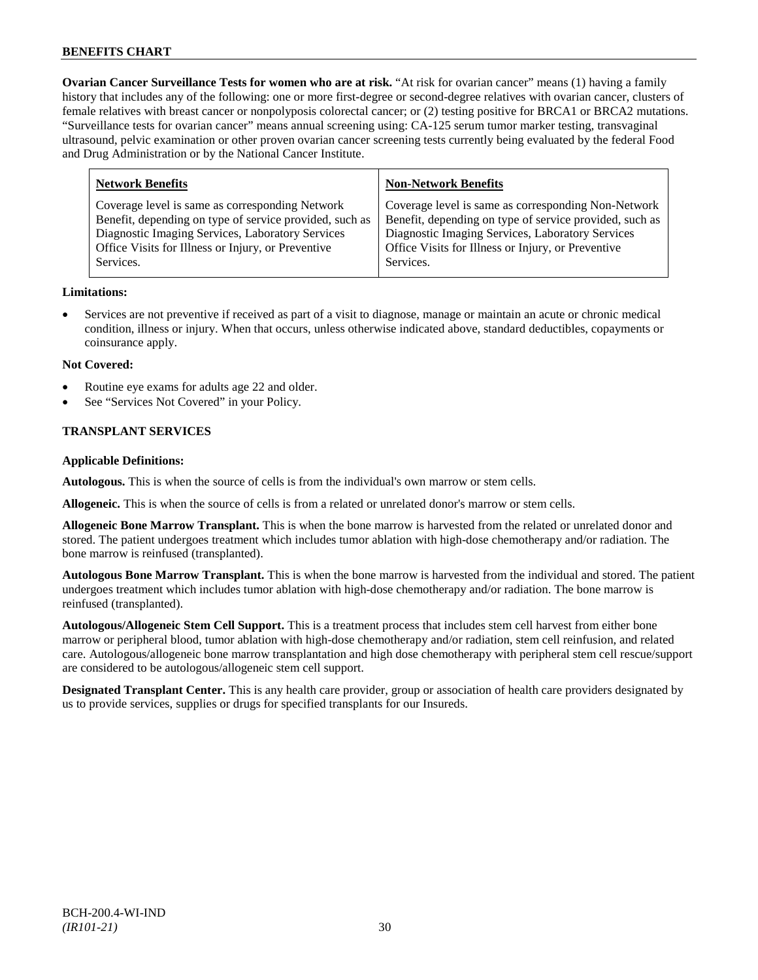**Ovarian Cancer Surveillance Tests for women who are at risk.** "At risk for ovarian cancer" means (1) having a family history that includes any of the following: one or more first-degree or second-degree relatives with ovarian cancer, clusters of female relatives with breast cancer or nonpolyposis colorectal cancer; or (2) testing positive for BRCA1 or BRCA2 mutations. "Surveillance tests for ovarian cancer" means annual screening using: CA-125 serum tumor marker testing, transvaginal ultrasound, pelvic examination or other proven ovarian cancer screening tests currently being evaluated by the federal Food and Drug Administration or by the National Cancer Institute.

| <b>Network Benefits</b>                                 | <b>Non-Network Benefits</b>                             |
|---------------------------------------------------------|---------------------------------------------------------|
| Coverage level is same as corresponding Network         | Coverage level is same as corresponding Non-Network     |
| Benefit, depending on type of service provided, such as | Benefit, depending on type of service provided, such as |
| Diagnostic Imaging Services, Laboratory Services        | Diagnostic Imaging Services, Laboratory Services        |
| Office Visits for Illness or Injury, or Preventive      | Office Visits for Illness or Injury, or Preventive      |
| Services.                                               | Services.                                               |
|                                                         |                                                         |

# **Limitations:**

• Services are not preventive if received as part of a visit to diagnose, manage or maintain an acute or chronic medical condition, illness or injury. When that occurs, unless otherwise indicated above, standard deductibles, copayments or coinsurance apply.

### **Not Covered:**

- Routine eye exams for adults age 22 and older.
- See "Services Not Covered" in your Policy.

# **TRANSPLANT SERVICES**

### **Applicable Definitions:**

**Autologous.** This is when the source of cells is from the individual's own marrow or stem cells.

**Allogeneic.** This is when the source of cells is from a related or unrelated donor's marrow or stem cells.

**Allogeneic Bone Marrow Transplant.** This is when the bone marrow is harvested from the related or unrelated donor and stored. The patient undergoes treatment which includes tumor ablation with high-dose chemotherapy and/or radiation. The bone marrow is reinfused (transplanted).

**Autologous Bone Marrow Transplant.** This is when the bone marrow is harvested from the individual and stored. The patient undergoes treatment which includes tumor ablation with high-dose chemotherapy and/or radiation. The bone marrow is reinfused (transplanted).

**Autologous/Allogeneic Stem Cell Support.** This is a treatment process that includes stem cell harvest from either bone marrow or peripheral blood, tumor ablation with high-dose chemotherapy and/or radiation, stem cell reinfusion, and related care. Autologous/allogeneic bone marrow transplantation and high dose chemotherapy with peripheral stem cell rescue/support are considered to be autologous/allogeneic stem cell support.

**Designated Transplant Center.** This is any health care provider, group or association of health care providers designated by us to provide services, supplies or drugs for specified transplants for our Insureds.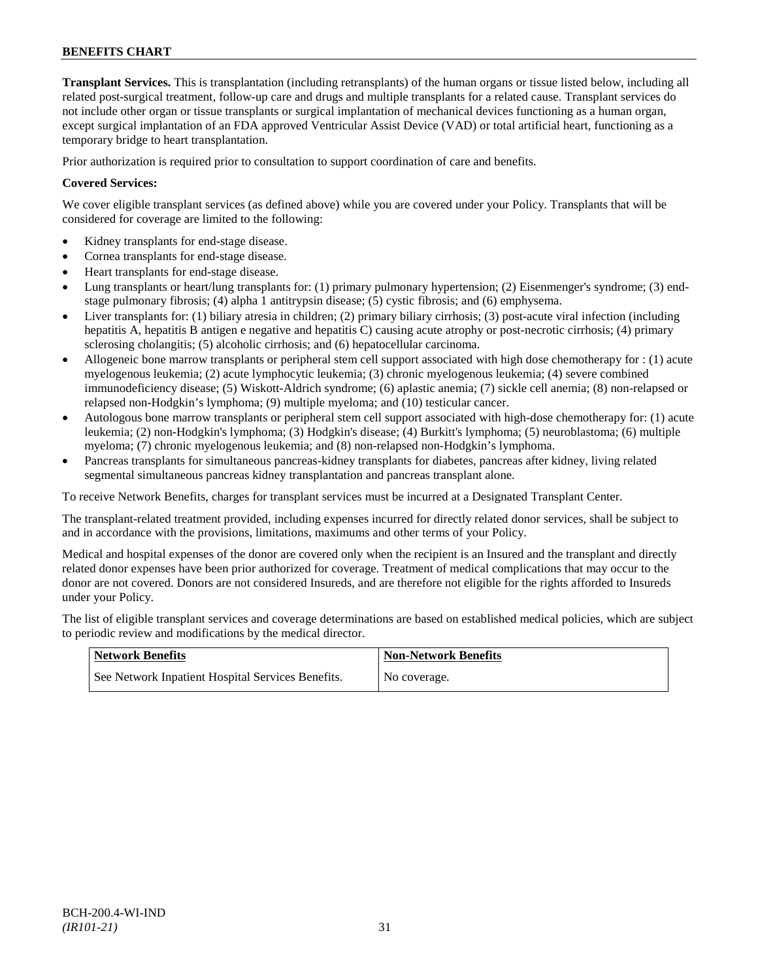**Transplant Services.** This is transplantation (including retransplants) of the human organs or tissue listed below, including all related post-surgical treatment, follow-up care and drugs and multiple transplants for a related cause. Transplant services do not include other organ or tissue transplants or surgical implantation of mechanical devices functioning as a human organ, except surgical implantation of an FDA approved Ventricular Assist Device (VAD) or total artificial heart, functioning as a temporary bridge to heart transplantation.

Prior authorization is required prior to consultation to support coordination of care and benefits.

# **Covered Services:**

We cover eligible transplant services (as defined above) while you are covered under your Policy. Transplants that will be considered for coverage are limited to the following:

- Kidney transplants for end-stage disease.
- Cornea transplants for end-stage disease.
- Heart transplants for end-stage disease.
- Lung transplants or heart/lung transplants for: (1) primary pulmonary hypertension; (2) Eisenmenger's syndrome; (3) endstage pulmonary fibrosis; (4) alpha 1 antitrypsin disease; (5) cystic fibrosis; and (6) emphysema.
- Liver transplants for: (1) biliary atresia in children; (2) primary biliary cirrhosis; (3) post-acute viral infection (including hepatitis A, hepatitis B antigen e negative and hepatitis C) causing acute atrophy or post-necrotic cirrhosis; (4) primary sclerosing cholangitis; (5) alcoholic cirrhosis; and (6) hepatocellular carcinoma.
- Allogeneic bone marrow transplants or peripheral stem cell support associated with high dose chemotherapy for : (1) acute myelogenous leukemia; (2) acute lymphocytic leukemia; (3) chronic myelogenous leukemia; (4) severe combined immunodeficiency disease; (5) Wiskott-Aldrich syndrome; (6) aplastic anemia; (7) sickle cell anemia; (8) non-relapsed or relapsed non-Hodgkin's lymphoma; (9) multiple myeloma; and (10) testicular cancer.
- Autologous bone marrow transplants or peripheral stem cell support associated with high-dose chemotherapy for: (1) acute leukemia; (2) non-Hodgkin's lymphoma; (3) Hodgkin's disease; (4) Burkitt's lymphoma; (5) neuroblastoma; (6) multiple myeloma; (7) chronic myelogenous leukemia; and (8) non-relapsed non-Hodgkin's lymphoma.
- Pancreas transplants for simultaneous pancreas-kidney transplants for diabetes, pancreas after kidney, living related segmental simultaneous pancreas kidney transplantation and pancreas transplant alone.

To receive Network Benefits, charges for transplant services must be incurred at a Designated Transplant Center.

The transplant-related treatment provided, including expenses incurred for directly related donor services, shall be subject to and in accordance with the provisions, limitations, maximums and other terms of your Policy.

Medical and hospital expenses of the donor are covered only when the recipient is an Insured and the transplant and directly related donor expenses have been prior authorized for coverage. Treatment of medical complications that may occur to the donor are not covered. Donors are not considered Insureds, and are therefore not eligible for the rights afforded to Insureds under your Policy.

The list of eligible transplant services and coverage determinations are based on established medical policies, which are subject to periodic review and modifications by the medical director.

| <b>Network Benefits</b>                           | <b>Non-Network Benefits</b> |
|---------------------------------------------------|-----------------------------|
| See Network Inpatient Hospital Services Benefits. | No coverage.                |